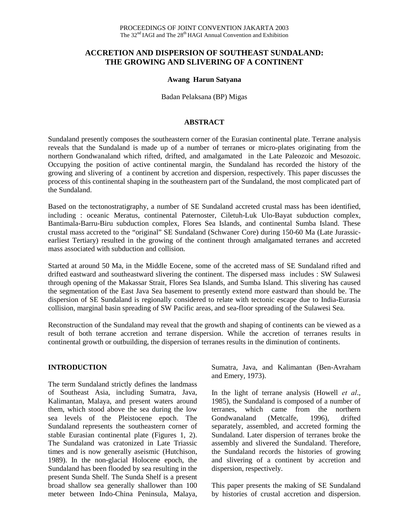## **ACCRETION AND DISPERSION OF SOUTHEAST SUNDALAND: THE GROWING AND SLIVERING OF A CONTINENT**

#### **Awang Harun Satyana**

Badan Pelaksana (BP) Migas

#### **ABSTRACT**

Sundaland presently composes the southeastern corner of the Eurasian continental plate. Terrane analysis reveals that the Sundaland is made up of a number of terranes or micro-plates originating from the northern Gondwanaland which rifted, drifted, and amalgamated in the Late Paleozoic and Mesozoic. Occupying the position of active continental margin, the Sundaland has recorded the history of the growing and slivering of a continent by accretion and dispersion, respectively. This paper discusses the process of this continental shaping in the southeastern part of the Sundaland, the most complicated part of the Sundaland.

Based on the tectonostratigraphy, a number of SE Sundaland accreted crustal mass has been identified, including : oceanic Meratus, continental Paternoster, Ciletuh-Luk Ulo-Bayat subduction complex, Bantimala-Barru-Biru subduction complex, Flores Sea Islands, and continental Sumba Island. These crustal mass accreted to the "original" SE Sundaland (Schwaner Core) during 150-60 Ma (Late Jurassicearliest Tertiary) resulted in the growing of the continent through amalgamated terranes and accreted mass associated with subduction and collision.

Started at around 50 Ma, in the Middle Eocene, some of the accreted mass of SE Sundaland rifted and drifted eastward and southeastward slivering the continent. The dispersed mass includes : SW Sulawesi through opening of the Makassar Strait, Flores Sea Islands, and Sumba Island. This slivering has caused the segmentation of the East Java Sea basement to presently extend more eastward than should be. The dispersion of SE Sundaland is regionally considered to relate with tectonic escape due to India-Eurasia collision, marginal basin spreading of SW Pacific areas, and sea-floor spreading of the Sulawesi Sea.

Reconstruction of the Sundaland may reveal that the growth and shaping of continents can be viewed as a result of both terrane accretion and terrane dispersion. While the accretion of terranes results in continental growth or outbuilding, the dispersion of terranes results in the diminution of continents.

#### **INTRODUCTION**

The term Sundaland strictly defines the landmass of Southeast Asia, including Sumatra, Java, Kalimantan, Malaya, and present waters around them, which stood above the sea during the low sea levels of the Pleistocene epoch. The Sundaland represents the southeastern corner of stable Eurasian continental plate (Figures 1, 2). The Sundaland was cratonized in Late Triassic times and is now generally aseismic (Hutchison, 1989). In the non-glacial Holocene epoch, the Sundaland has been flooded by sea resulting in the present Sunda Shelf. The Sunda Shelf is a present broad shallow sea generally shallower than 100 meter between Indo-China Peninsula, Malaya, Sumatra, Java, and Kalimantan (Ben-Avraham and Emery, 1973).

In the light of terrane analysis (Howell *et al*., 1985), the Sundaland is composed of a number of terranes, which came from the northern Gondwanaland (Metcalfe, 1996), drifted separately, assembled, and accreted forming the Sundaland. Later dispersion of terranes broke the assembly and slivered the Sundaland. Therefore, the Sundaland records the histories of growing and slivering of a continent by accretion and dispersion, respectively.

This paper presents the making of SE Sundaland by histories of crustal accretion and dispersion.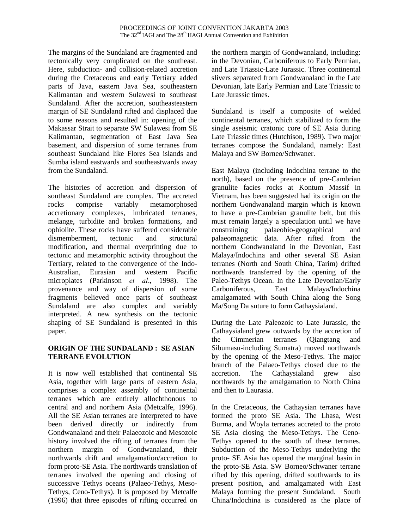The margins of the Sundaland are fragmented and tectonically very complicated on the southeast. Here, subduction- and collision-related accretion during the Cretaceous and early Tertiary added parts of Java, eastern Java Sea, southeastern Kalimantan and western Sulawesi to southeast Sundaland. After the accretion, southeasteastern margin of SE Sundaland rifted and displaced due to some reasons and resulted in: opening of the Makassar Strait to separate SW Sulawesi from SE Kalimantan, segmentation of East Java Sea basement, and dispersion of some terranes from southeast Sundaland like Flores Sea islands and Sumba island eastwards and southeastwards away from the Sundaland.

The histories of accretion and dispersion of southeast Sundaland are complex. The accreted rocks comprise variably metamorphosed accretionary complexes, imbricated terranes, melange, turbidite and broken formations, and ophiolite. These rocks have suffered considerable dismemberment, tectonic and structural modification, and thermal overprinting due to tectonic and metamorphic activity throughout the Tertiary, related to the convergence of the Indo-Australian, Eurasian and western Pacific microplates (Parkinson *et al*., 1998). The provenance and way of dispersion of some fragments believed once parts of southeast Sundaland are also complex and variably interpreted. A new synthesis on the tectonic shaping of SE Sundaland is presented in this paper.

### **ORIGIN OF THE SUNDALAND : SE ASIAN TERRANE EVOLUTION**

It is now well established that continental SE Asia, together with large parts of eastern Asia, comprises a complex assembly of continental terranes which are entirely allochthonous to central and and northern Asia (Metcalfe, 1996). All the SE Asian terranes are interpreted to have been derived directly or indirectly from Gondwanaland and their Palaeozoic and Mesozoic history involved the rifting of terranes from the northern margin of Gondwanaland, their northwards drift and amalgamation/accretion to form proto-SE Asia. The northwards translation of terranes involved the opening and closing of successive Tethys oceans (Palaeo-Tethys, Meso-Tethys, Ceno-Tethys). It is proposed by Metcalfe (1996) that three episodes of rifting occurred on the northern margin of Gondwanaland, including: in the Devonian, Carboniferous to Early Permian, and Late Triassic-Late Jurassic. Three continental slivers separated from Gondwanaland in the Late Devonian, late Early Permian and Late Triassic to Late Jurassic times.

Sundaland is itself a composite of welded continental terranes, which stabilized to form the single aseismic cratonic core of SE Asia during Late Triassic times (Hutchison, 1989). Two major terranes compose the Sundaland, namely: East Malaya and SW Borneo/Schwaner.

East Malaya (including Indochina terrane to the north), based on the presence of pre-Cambrian granulite facies rocks at Kontum Massif in Vietnam, has been suggested had its origin on the northern Gondwanaland margin which is known to have a pre-Cambrian granulite belt, but this must remain largely a speculation until we have constraining palaeobio-geographical and palaeomagnetic data. After rifted from the northern Gondwanaland in the Devonian, East Malaya/Indochina and other several SE Asian terranes (North and South China, Tarim) drifted northwards transferred by the opening of the Paleo-Tethys Ocean. In the Late Devonian/Early Carboniferous, East Malaya/Indochina amalgamated with South China along the Song Ma/Song Da suture to form Cathaysialand.

During the Late Paleozoic to Late Jurassic, the Cathaysialand grew outwards by the accretion of the Cimmerian terranes (Qiangtang and Sibumasu-including Sumatra) moved northwards by the opening of the Meso-Tethys. The major branch of the Palaeo-Tethys closed due to the accretion. The Cathaysialand grew also northwards by the amalgamation to North China and then to Laurasia.

In the Cretaceous, the Cathaysian terranes have formed the proto SE Asia. The Lhasa, West Burma, and Woyla terranes accreted to the proto SE Asia closing the Meso-Tethys. The Ceno-Tethys opened to the south of these terranes. Subduction of the Meso-Tethys underlying the proto- SE Asia has opened the marginal basin in the proto-SE Asia. SW Borneo/Schwaner terrane rifted by this opening, drifted southwards to its present position, and amalgamated with East Malaya forming the present Sundaland. South China/Indochina is considered as the place of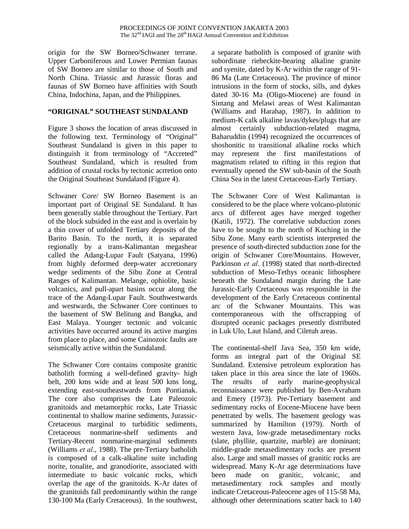origin for the SW Borneo/Schwaner terrane. Upper Carboniferous and Lower Permian faunas of SW Borneo are similar to those of South and North China. Triassic and Jurassic floras and faunas of SW Borneo have affinities with South China, Indochina, Japan, and the Philippines.

## **"ORIGINAL" SOUTHEAST SUNDALAND**

Figure 3 shows the location of areas discussed in the following text. Terminology of "Original" Southeast Sundaland is given in this paper to distinguish it from terminology of "Accreted" Southeast Sundaland, which is resulted from addition of crustal rocks by tectonic acrretion onto the Original Southeast Sundaland (Figure 4).

Schwaner Core/ SW Borneo Basement is an important part of Original SE Sundaland. It has been generally stable throughout the Tertiary. Part of the block subsided in the east and is overlain by a thin cover of unfolded Tertiary deposits of the Barito Basin. To the north, it is separated regionally by a trans-Kalimantan megashear called the Adang-Lupar Fault (Satyana, 1996) from highly deformed deep-water accretionary wedge sediments of the Sibu Zone at Central Ranges of Kalimantan. Melange, ophiolite, basic volcanics, and pull-apart basins occur along the trace of the Adang-Lupar Fault. Southwestwards and westwards, the Schwaner Core continues to the basement of SW Belitung and Bangka, and East Malaya. Younger tectonic and volcanic activities have occurred around its active margins from place to place, and some Cainozoic faults are seismically active within the Sundaland.

The Schwaner Core contains composite granitic batholith forming a well-defined gravity- high belt, 200 kms wide and at least 500 kms long, extending east-southeastwards from Pontianak. The core also comprises the Late Paleozoic granitoids and metamorphic rocks, Late Triassic continental to shallow marine sediments, Jurassic-Cretaceous marginal to turbiditic sediments, Cretaceous nonmarine-shelf sediments and Tertiary-Recent nonmarine-marginal sediments (Williams *et al*., 1988). The pre-Tertiary batholith is composed of a calk-alkaline suite including norite, tonalite, and granodiorite, associated with intermediate to basic volcanic rocks, which overlap the age of the granitoids. K-Ar dates of the granitoids fall predominantly within the range 130-100 Ma (Early Cretaceous). In the southwest, a separate batholith is composed of granite with subordinate riebeckite-bearing alkaline granite and syenite, dated by K-Ar within the range of 91- 86 Ma (Late Cretaceous). The province of minor intrusions in the form of stocks, sills, and dykes dated 30-16 Ma (Oligo-Miocene) are found in Sintang and Melawi areas of West Kalimantan (Williams and Harahap, 1987). In addition to medium-K calk alkaline lavas/dykes/plugs that are almost certainly subduction-related magma, Baharuddin (1994) recognized the occurrences of shoshonitic to transitional alkaline rocks which may represent the first manifestations of magmatism related to rifting in this region that eventually opened the SW sub-basin of the South China Sea in the latest Cretaceous-Early Tertiary.

The Schwaner Core of West Kalimantan is considered to be the place where volcano-plutonic arcs of different ages have merged together (Katili, 1972). The correlative subduction zones have to be sought to the north of Kuching in the Sibu Zone. Many earth scientists interpreted the presence of south-directed subduction zone for the origin of Schwaner Core/Mountains. However, Parkinson *et al*. (1998) stated that north-directed subduction of Meso-Tethys oceanic lithosphere beneath the Sundaland margin during the Late Jurassic-Early Cretaceous was responsible in the development of the Early Cretaceous continental arc of the Schwaner Mountains. This was contemporaneous with the offscrapping of disrupted oceanic packages presently distributed in Luk Ulo, Laut Island, and Ciletuh areas.

The continental-shelf Java Sea, 350 km wide, forms an integral part of the Original SE Sundaland. Extensive petroleum exploration has taken place in this area since the late of 1960s. The results of early marine-geophysical reconnaissance were published by Ben-Avraham and Emery (1973). Pre-Tertiary basement and sedimentary rocks of Eocene-Miocene have been penetrated by wells. The basement geology was summarized by Hamilton (1979). North of western Java, low-grade metasedimentary rocks (slate, phyllite, quartzite, marble) are dominant; middle-grade metasedimentary rocks are present also. Large and small masses of granitic rocks are widespread. Many K-Ar age determinations have been made on granitic, volcanic, and metasedimentary rock samples and mostly indicate Cretaceous-Paleocene ages of 115-58 Ma, although other determinations scatter back to 140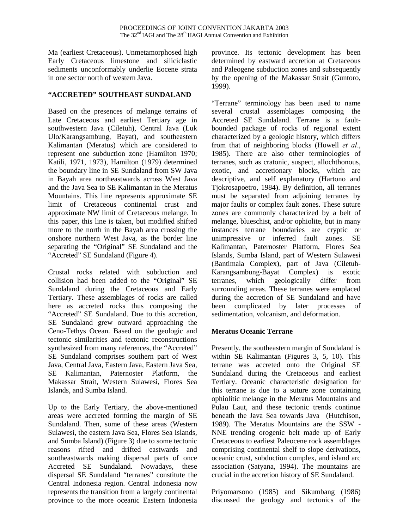Ma (earliest Cretaceous). Unmetamorphosed high Early Cretaceous limestone and siliciclastic sediments unconformably underlie Eocene strata in one sector north of western Java.

#### **"ACCRETED" SOUTHEAST SUNDALAND**

Based on the presences of melange terrains of Late Cretaceous and earliest Tertiary age in southwestern Java (Ciletuh), Central Java (Luk Ulo/Karangsambung, Bayat), and southeastern Kalimantan (Meratus) which are considered to represent one subduction zone (Hamilton 1970; Katili, 1971, 1973), Hamilton (1979) determined the boundary line in SE Sundaland from SW Java in Bayah area northeastwards across West Java and the Java Sea to SE Kalimantan in the Meratus Mountains. This line represents approximate SE limit of Cretaceous continental crust and approximate NW limit of Cretaceous melange. In this paper, this line is taken, but modified shifted more to the north in the Bayah area crossing the onshore northern West Java, as the border line separating the "Original" SE Sundaland and the "Accreted" SE Sundaland (Figure 4).

Crustal rocks related with subduction and collision had been added to the "Original" SE Sundaland during the Cretaceous and Early Tertiary. These assemblages of rocks are called here as accreted rocks thus composing the "Accreted" SE Sundaland. Due to this accretion, SE Sundaland grew outward approaching the Ceno-Tethys Ocean. Based on the geologic and tectonic similarities and tectonic reconstructions synthesized from many references, the "Accreted" SE Sundaland comprises southern part of West Java, Central Java, Eastern Java, Eastern Java Sea, SE Kalimantan, Paternoster Platform, the Makassar Strait, Western Sulawesi, Flores Sea Islands, and Sumba Island.

Up to the Early Tertiary, the above-mentioned areas were accreted forming the margin of SE Sundaland. Then, some of these areas (Western Sulawesi, the eastern Java Sea, Flores Sea Islands, and Sumba Island) (Figure 3) due to some tectonic reasons rifted and drifted eastwards and southeastwards making dispersal parts of once Accreted SE Sundaland. Nowadays, these dispersal SE Sundaland "terranes" constitute the Central Indonesia region. Central Indonesia now represents the transition from a largely continental province to the more oceanic Eastern Indonesia province. Its tectonic development has been determined by eastward accretion at Cretaceous and Paleogene subduction zones and subsequently by the opening of the Makassar Strait (Guntoro, 1999).

"Terrane" terminology has been used to name several crustal assemblages composing the Accreted SE Sundaland. Terrane is a faultbounded package of rocks of regional extent characterized by a geologic history, which differs from that of neighboring blocks (Howell *et al*., 1985). There are also other terminologies of terranes, such as cratonic, suspect, allochthonous, exotic, and accretionary blocks, which are descriptive, and self explanatory (Hartono and Tjokrosapoetro, 1984). By definition, all terranes must be separated from adjoining terranes by major faults or complex fault zones. These suture zones are commonly characterized by a belt of melange, blueschist, and/or ophiolite, but in many instances terrane boundaries are cryptic or unimpressive or inferred fault zones. SE Kalimantan, Paternoster Platform, Flores Sea Islands, Sumba Island, part of Western Sulawesi (Bantimala Complex), part of Java (Ciletuh-Karangsambung-Bayat Complex) is exotic terranes, which geologically differ from surrounding areas. These terranes were emplaced during the accretion of SE Sundaland and have been complicated by later processes of sedimentation, volcanism, and deformation.

### **Meratus Oceanic Terrane**

Presently, the southeastern margin of Sundaland is within SE Kalimantan (Figures 3, 5, 10). This terrane was accreted onto the Original SE Sundaland during the Cretaceous and earliest Tertiary. Oceanic characteristic designation for this terrane is due to a suture zone containing ophiolitic melange in the Meratus Mountains and Pulau Laut, and these tectonic trends continue beneath the Java Sea towards Java (Hutchison, 1989). The Meratus Mountains are the SSW - NNE trending orogenic belt made up of Early Cretaceous to earliest Paleocene rock assemblages comprising continental shelf to slope derivations, oceanic crust, subduction complex, and island arc association (Satyana, 1994). The mountains are crucial in the accretion history of SE Sundaland.

Priyomarsono (1985) and Sikumbang (1986) discussed the geology and tectonics of the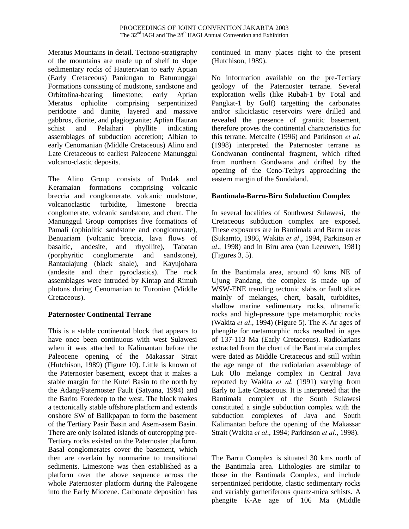Meratus Mountains in detail. Tectono-stratigraphy of the mountains are made up of shelf to slope sedimentary rocks of Hauterivian to early Aptian (Early Cretaceous) Paniungan to Batununggal Formations consisting of mudstone, sandstone and Orbitolina-bearing limestone; early Aptian Meratus ophiolite comprising serpentinized peridotite and dunite, layered and massive gabbros, diorite, and plagiogranite; Aptian Hauran schist and Pelaihari phyllite indicating assemblages of subduction accretion; Albian to early Cenomanian (Middle Cretaceous) Alino and Late Cretaceous to earliest Paleocene Manunggul volcano-clastic deposits.

The Alino Group consists of Pudak and Keramaian formations comprising volcanic breccia and conglomerate, volcanic mudstone, volcanoclastic turbidite, limestone breccia conglomerate, volcanic sandstone, and chert. The Manunggul Group comprises five formations of Pamali (ophiolitic sandstone and conglomerate), Benuariam (volcanic breccia, lava flows of basaltic, andesite, and rhyollite), Tabatan (porphyritic conglomerate and sandstone), Rantaulajung (black shale), and Kayujohara (andesite and their pyroclastics). The rock assemblages were intruded by Kintap and Rimuh plutons during Cenomanian to Turonian (Middle Cretaceous).

### **Paternoster Continental Terrane**

This is a stable continental block that appears to have once been continuous with west Sulawesi when it was attached to Kalimantan before the Paleocene opening of the Makassar Strait (Hutchison, 1989) (Figure 10). Little is known of the Paternoster basement, except that it makes a stable margin for the Kutei Basin to the north by the Adang/Paternoster Fault (Satyana, 1994) and the Barito Foredeep to the west. The block makes a tectonically stable offshore platform and extends onshore SW of Balikpapan to form the basement of the Tertiary Pasir Basin and Asem-asem Basin. There are only isolated islands of outcropping pre-Tertiary rocks existed on the Paternoster platform. Basal conglomerates cover the basement, which then are overlain by nonmarine to transitional sediments. Limestone was then established as a platform over the above sequence across the whole Paternoster platform during the Paleogene into the Early Miocene. Carbonate deposition has

continued in many places right to the present (Hutchison, 1989).

No information available on the pre-Tertiary geology of the Paternoster terrane. Several exploration wells (like Rubah-1 by Total and Pangkat-1 by Gulf) targetting the carbonates and/or siliciclastic reservoirs were drilled and revealed the presence of granitic basement, therefore proves the continental characteristics for this terrane. Metcalfe (1996) and Parkinson *et al*. (1998) interpreted the Paternoster terrane as Gondwanan continental fragment, which rifted from northern Gondwana and drifted by the opening of the Ceno-Tethys approaching the eastern margin of the Sundaland.

#### **Bantimala-Barru-Biru Subduction Complex**

In several localities of Southwest Sulawesi, the Cretaceous subduction complex are exposed. These exposures are in Bantimala and Barru areas (Sukamto, 1986, Wakita *et al*., 1994, Parkinson *et al*., 1998) and in Biru area (van Leeuwen, 1981) (Figures 3, 5).

In the Bantimala area, around 40 kms NE of Ujung Pandang, the complex is made up of WSW-ENE trending tectonic slabs or fault slices mainly of melanges, chert, basalt, turbidites, shallow marine sedimentary rocks, ultramafic rocks and high-pressure type metamorphic rocks (Wakita *et al*., 1994) (Figure 5). The K-Ar ages of phengite for metamorphic rocks resulted in ages of 137-113 Ma (Early Cretaceous). Radiolarians extracted from the chert of the Bantimala complex were dated as Middle Cretaceous and still within the age range of the radiolarian assemblage of Luk Ulo melange complex in Central Java reported by Wakita *et al*. (1991) varying from Early to Late Cretaceous. It is interpreted that the Bantimala complex of the South Sulawesi constituted a single subduction complex with the subduction complexes of Java and South Kalimantan before the opening of the Makassar Strait (Wakita *et al*., 1994; Parkinson *et al*., 1998).

The Barru Complex is situated 30 kms north of the Bantimala area. Lithologies are similar to those in the Bantimala Complex, and include serpentinized peridotite, clastic sedimentary rocks and variably garnetiferous quartz-mica schists. A phengite K-Ae age of 106 Ma (Middle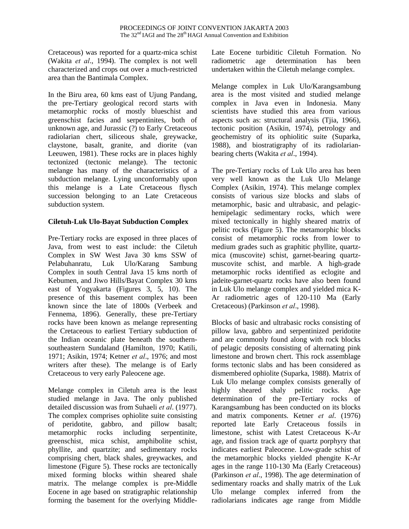Cretaceous) was reported for a quartz-mica schist (Wakita *et al*., 1994). The complex is not well characterized and crops out over a much-restricted area than the Bantimala Complex.

In the Biru area, 60 kms east of Ujung Pandang, the pre-Tertiary geological record starts with metamorphic rocks of mostly blueschist and greenschist facies and serpentinites, both of unknown age, and Jurassic (?) to Early Cretaceous radiolarian chert, siliceous shale, greywacke, claystone, basalt, granite, and diorite (van Leeuwen, 1981). These rocks are in places highly tectonized (tectonic melange). The tectonic melange has many of the characteristics of a subduction melange. Lying unconformably upon this melange is a Late Cretaceous flysch succession belonging to an Late Cretaceous subduction system.

#### **Ciletuh-Luk Ulo-Bayat Subduction Complex**

Pre-Tertiary rocks are exposed in three places of Java, from west to east include: the Ciletuh Complex in SW West Java 30 kms SSW of Pelabuhanratu, Luk Ulo/Karang Sambung Complex in south Central Java 15 kms north of Kebumen, and Jiwo Hills/Bayat Complex 30 kms east of Yogyakarta (Figures 3, 5, 10). The presence of this basement complex has been known since the late of 1800s (Verbeek and Fennema, 1896). Generally, these pre-Tertiary rocks have been known as melange representing the Cretaceous to earliest Tertiary subduction of the Indian oceanic plate beneath the southernsoutheastern Sundaland (Hamilton, 1970; Katili, 1971; Asikin, 1974; Ketner *et al*., 1976; and most writers after these). The melange is of Early Cretaceous to very early Paleocene age.

Melange complex in Ciletuh area is the least studied melange in Java. The only published detailed discussion was from Suhaeli *et al*. (1977). The complex comprises ophiolite suite consisting of peridotite, gabbro, and pillow basalt; metamorphic rocks including serpentinite, greenschist, mica schist, amphibolite schist, phyllite, and quartzite; and sedimentary rocks comprising chert, black shales, greywackes, and limestone (Figure 5). These rocks are tectonically mixed forming blocks within sheared shale matrix. The melange complex is pre-Middle Eocene in age based on stratigraphic relationship forming the basement for the overlying MiddleLate Eocene turbiditic Ciletuh Formation. No radiometric age determination has been undertaken within the Ciletuh melange complex.

Melange complex in Luk Ulo/Karangsambung area is the most visited and studied melange complex in Java even in Indonesia. Many scientists have studied this area from various aspects such as: structural analysis (Tjia, 1966), tectonic position (Asikin, 1974), petrology and geochemistry of its ophiolitic suite (Suparka, 1988), and biostratigraphy of its radiolarianbearing cherts (Wakita *et al*., 1994).

The pre-Tertiary rocks of Luk Ulo area has been very well known as the Luk Ulo Melange Complex (Asikin, 1974). This melange complex consists of various size blocks and slabs of metamorphic, basic and ultrabasic, and pelagichemipelagic sedimentary rocks, which were mixed tectonically in highly sheared matrix of pelitic rocks (Figure 5). The metamorphic blocks consist of metamorphic rocks from lower to medium grades such as graphitic phyllite, quartzmica (muscovite) schist, garnet-bearing quartzmuscovite schist, and marble. A high-grade metamorphic rocks identified as eclogite and jadeite-garnet-quartz rocks have also been found in Luk Ulo melange complex and yielded mica K-Ar radiometric ages of 120-110 Ma (Early Cretaceous) (Parkinson *et al*., 1998).

Blocks of basic and ultrabasic rocks consisting of pillow lava, gabbro and serpentinized peridotite and are commonly found along with rock blocks of pelagic deposits consisting of alternating pink limestone and brown chert. This rock assemblage forms tectonic slabs and has been considered as dismembered ophiolite (Suparka, 1988). Matrix of Luk Ulo melange complex consists generally of highly sheared shaly pelitic rocks. Age determination of the pre-Tertiary rocks of Karangsambung has been conducted on its blocks and matrix components. Ketner *et al*. (1976) reported late Early Cretaceous fossils in limestone, schist with Latest Cretaceous K-Ar age, and fission track age of quartz porphyry that indicates earliest Paleocene. Low-grade schist of the metamorphic blocks yielded phengite K-Ar ages in the range 110-130 Ma (Early Cretaceous) (Parkinson *et al*., 1998). The age determination of sedimentary roacks and shally matrix of the Luk Ulo melange complex inferred from the radiolarians indicates age range from Middle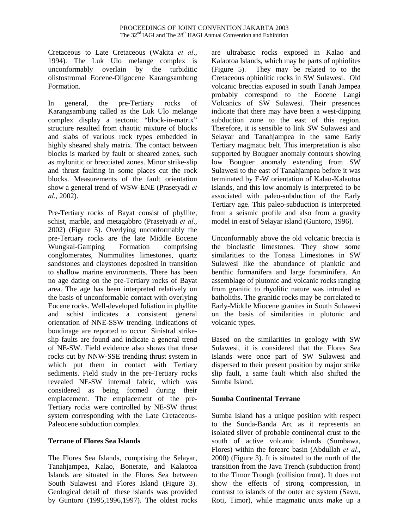Cretaceous to Late Cretaceous (Wakita *et al*., 1994). The Luk Ulo melange complex is unconformably overlain by the turbiditic olistostromal Eocene-Oligocene Karangsambung Formation.

In general, the pre-Tertiary rocks of Karangsambung called as the Luk Ulo melange complex display a tectonic "block-in-matrix" structure resulted from chaotic mixture of blocks and slabs of various rock types embedded in highly sheared shaly matrix. The contact between blocks is marked by fault or sheared zones, such as mylonitic or brecciated zones. Minor strike-slip and thrust faulting in some places cut the rock blocks. Measurements of the fault orientation show a general trend of WSW-ENE (Prasetyadi *et al*., 2002).

Pre-Tertiary rocks of Bayat consist of phyllite, schist, marble, and metagabbro (Prasetyadi *et al*., 2002) (Figure 5). Overlying unconformably the pre-Tertiary rocks are the late Middle Eocene Wungkal-Gamping Formation comprising conglomerates, Nummulites limestones, quartz sandstones and claystones deposited in transition to shallow marine environments. There has been no age dating on the pre-Tertiary rocks of Bayat area. The age has been interpreted relatively on the basis of unconformable contact with overlying Eocene rocks. Well-developed foliation in phyllite and schist indicates a consistent general orientation of NNE-SSW trending. Indications of boudinage are reported to occur. Sinistral strikeslip faults are found and indicate a general trend of NE-SW. Field evidence also shows that these rocks cut by NNW-SSE trending thrust system in which put them in contact with Tertiary sediments. Field study in the pre-Tertiary rocks revealed NE-SW internal fabric, which was considered as being formed during their emplacement. The emplacement of the pre-Tertiary rocks were controlled by NE-SW thrust system corresponding with the Late Cretaceous-Paleocene subduction complex.

# **Terrane of Flores Sea Islands**

The Flores Sea Islands, comprising the Selayar, Tanahjampea, Kalao, Bonerate, and Kalaotoa Islands are situated in the Flores Sea between South Sulawesi and Flores Island (Figure 3). Geological detail of these islands was provided by Guntoro (1995,1996,1997). The oldest rocks are ultrabasic rocks exposed in Kalao and Kalaotoa Islands, which may be parts of ophiolites (Figure 5). They may be related to to the Cretaceous ophiolitic rocks in SW Sulawesi. Old volcanic breccias exposed in south Tanah Jampea probably correspond to the Eocene Langi Volcanics of SW Sulawesi. Their presences indicate that there may have been a west-dipping subduction zone to the east of this region. Therefore, it is sensible to link SW Sulawesi and Selayar and Tanahjampea in the same Early Tertiary magmatic belt. This interpretation is also supported by Bouguer anomaly contours showing low Bouguer anomaly extending from SW Sulawesi to the east of Tanahjampea before it was terminated by E-W orientation of Kalao-Kalaotoa Islands, and this low anomaly is interpreted to be associated with paleo-subduction of the Early Tertiary age. This paleo-subduction is interpreted from a seismic profile and also from a gravity model in east of Selayar island (Guntoro, 1996).

Unconformably above the old volcanic breccia is the bioclastic limestones. They show some similarities to the Tonasa Limestones in SW Sulawesi like the abundance of planktic and benthic formanifera and large foraminifera. An assemblage of plutonic and volcanic rocks ranging from granitic to rhyolitic nature was intruded as batholiths. The granitic rocks may be correlated to Early-Middle Miocene granites in South Sulawesi on the basis of similarities in plutonic and volcanic types.

Based on the similarities in geology with SW Sulawesi, it is considered that the Flores Sea Islands were once part of SW Sulawesi and dispersed to their present position by major strike slip fault, a same fault which also shifted the Sumba Island.

# **Sumba Continental Terrane**

Sumba Island has a unique position with respect to the Sunda-Banda Arc as it represents an isolated sliver of probable continental crust to the south of active volcanic islands (Sumbawa, Flores) within the forearc basin (Abdullah *et al*., 2000) (Figure 3). It is situated to the north of the transition from the Java Trench (subduction front) to the Timor Trough (collision front). It does not show the effects of strong compression, in contrast to islands of the outer arc system (Sawu, Roti, Timor), while magmatic units make up a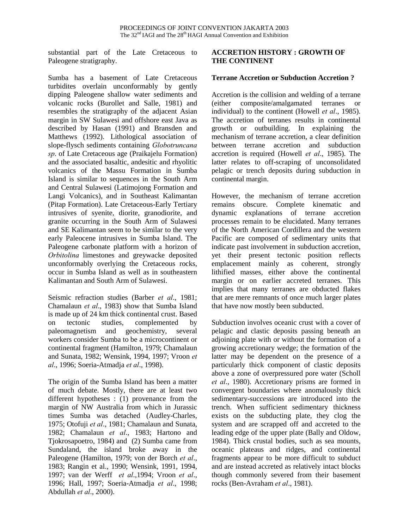substantial part of the Late Cretaceous to Paleogene stratigraphy.

Sumba has a basement of Late Cretaceous turbidites overlain unconformably by gently dipping Paleogene shallow water sediments and volcanic rocks (Burollet and Salle, 1981) and resembles the stratigraphy of the adjacent Asian margin in SW Sulawesi and offshore east Java as described by Hasan (1991) and Bransden and Matthews (1992). Lithological association of slope-flysch sediments containing *Globotruncana sp*. of Late Cretaceous age (Praikajelu Formation) and the associated basaltic, andesitic and rhyolitic volcanics of the Massu Formation in Sumba Island is similar to sequences in the South Arm and Central Sulawesi (Latimojong Formation and Langi Volcanics), and in Southeast Kalimantan (Pitap Formation). Late Cretaceous-Early Tertiary intrusives of syenite, diorite, granodiorite, and granite occurring in the South Arm of Sulawesi and SE Kalimantan seem to be similar to the very early Paleocene intrusives in Sumba Island. The Paleogene carbonate platform with a horizon of *Orbitolina* limestones and greywacke deposited unconformably overlying the Cretaceous rocks, occur in Sumba Island as well as in southeastern Kalimantan and South Arm of Sulawesi.

Seismic refraction studies (Barber *et al*., 1981; Chamalaun *et al*., 1983) show that Sumba Island is made up of 24 km thick continental crust. Based on tectonic studies, complemented by paleomagnetism and geochemistry, several workers consider Sumba to be a microcontinent or continental fragment (Hamilton, 1979; Chamalaun and Sunata, 1982; Wensink, 1994, 1997; Vroon *et al*., 1996; Soeria-Atmadja *et al*., 1998).

The origin of the Sumba Island has been a matter of much debate. Mostly, there are at least two different hypotheses : (1) provenance from the margin of NW Australia from which in Jurassic times Sumba was detached (Audley-Charles, 1975; Otofuji *et al*., 1981; Chamalaun and Sunata, 1982; Chamalaun *et al*., 1983; Hartono and Tjokrosapoetro, 1984) and (2) Sumba came from Sundaland, the island broke away in the Paleogene (Hamilton, 1979; von der Borch *et al*., 1983; Rangin et al., 1990; Wensink, 1991, 1994, 1997; van der Werff *et al*.,1994; Vroon *et al*., 1996; Hall, 1997; Soeria-Atmadja *et al*., 1998; Abdullah *et al*., 2000).

### **ACCRETION HISTORY : GROWTH OF THE CONTINENT**

#### **Terrane Accretion or Subduction Accretion ?**

Accretion is the collision and welding of a terrane (either composite/amalgamated terranes or individual) to the continent (Howell *et al*., 1985). The accretion of terranes results in continental growth or outbuilding. In explaining the mechanism of terrane accretion, a clear definition between terrane accretion and subduction accretion is required (Howell *et al*., 1985). The latter relates to off-scraping of unconsolidated pelagic or trench deposits during subduction in continental margin.

However, the mechanism of terrane accretion remains obscure. Complete kinematic and dynamic explanations of terrane accretion processes remain to be elucidated. Many terranes of the North American Cordillera and the western Pacific are composed of sedimentary units that indicate past involvement in subduction accretion, yet their present tectonic position reflects emplacement mainly as coherent, strongly lithified masses, either above the continental margin or on earlier accreted terranes. This implies that many terranes are obducted flakes that are mere remnants of once much larger plates that have now mostly been subducted.

Subduction involves oceanic crust with a cover of pelagic and clastic deposits passing beneath an adjoining plate with or without the formation of a growing accretionary wedge; the formation of the latter may be dependent on the presence of a particularly thick component of clastic deposits above a zone of overpressured pore water (Scholl *et al*., 1980). Accretionary prisms are formed in convergent boundaries where anomalously thick sedimentary-successions are introduced into the trench. When sufficient sedimentary thickness exists on the subducting plate, they clog the system and are scrapped off and accreted to the leading edge of the upper plate (Bally and Oldow, 1984). Thick crustal bodies, such as sea mounts, oceanic plateaus and ridges, and continental fragments appear to be more difficult to subduct and are instead accreted as relatively intact blocks though commonly severed from their basement rocks (Ben-Avraham *et al*., 1981).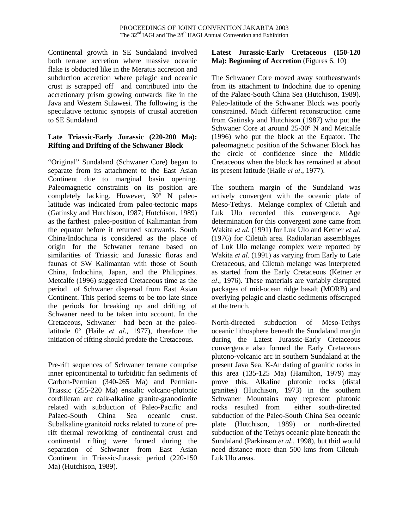Continental growth in SE Sundaland involved both terrane accretion where massive oceanic flake is obducted like in the Meratus accretion and subduction accretion where pelagic and oceanic crust is scrapped off and contributed into the accretionary prism growing outwards like in the Java and Western Sulawesi. The following is the speculative tectonic synopsis of crustal accretion to SE Sundaland.

## **Late Triassic-Early Jurassic (220-200 Ma): Rifting and Drifting of the Schwaner Block**

"Original" Sundaland (Schwaner Core) began to separate from its attachment to the East Asian Continent due to marginal basin opening. Paleomagnetic constraints on its position are completely lacking. However, 30º N paleolatitude was indicated from paleo-tectonic maps (Gatinsky and Hutchison, 1987; Hutchison, 1989) as the farthest paleo-position of Kalimantan from the equator before it returned soutwards. South China/Indochina is considered as the place of origin for the Schwaner terrane based on similarities of Triassic and Jurassic floras and faunas of SW Kalimantan with those of South China, Indochina, Japan, and the Philippines. Metcalfe (1996) suggested Cretaceous time as the period of Schwaner dispersal from East Asian Continent. This period seems to be too late since the periods for breaking up and drifting of Schwaner need to be taken into account. In the Cretaceous, Schwaner had been at the paleolatitude 0º (Haile *et al*., 1977), therefore the initiation of rifting should predate the Cretaceous.

Pre-rift sequences of Schwaner terrane comprise inner epicontinental to turbiditic fan sediments of Carbon-Permian (340-265 Ma) and Permian-Triassic (255-220 Ma) ensialic volcano-plutonic cordilleran arc calk-alkaline granite-granodiorite related with subduction of Paleo-Pacific and Palaeo-South China Sea oceanic crust. Subalkaline granitoid rocks related to zone of prerift thermal reworking of continental crust and continental rifting were formed during the separation of Schwaner from East Asian Continent in Triassic-Jurassic period (220-150 Ma) (Hutchison, 1989).

#### **Latest Jurassic-Early Cretaceous (150-120 Ma): Beginning of Accretion** (Figures 6, 10)

The Schwaner Core moved away southeastwards from its attachment to Indochina due to opening of the Palaeo-South China Sea (Hutchison, 1989). Paleo-latitude of the Schwaner Block was poorly constrained. Much different reconstruction came from Gatinsky and Hutchison (1987) who put the Schwaner Core at around 25-30º N and Metcalfe (1996) who put the block at the Equator. The paleomagnetic position of the Schwaner Block has the circle of confidence since the Middle Cretaceous when the block has remained at about its present latitude (Haile *et al*., 1977).

The southern margin of the Sundaland was actively convergent with the oceanic plate of Meso-Tethys. Melange complex of Ciletuh and Luk Ulo recorded this convergence. Age determination for this convergent zone came from Wakita *et al*. (1991) for Luk Ulo and Ketner *et al*. (1976) for Ciletuh area. Radiolarian assemblages of Luk Ulo melange complex were reported by Wakita *et al*. (1991) as varying from Early to Late Cretaceous, and Ciletuh melange was interpreted as started from the Early Cretaceous (Ketner *et al*., 1976). These materials are variably disrupted packages of mid-ocean ridge basalt (MORB) and overlying pelagic and clastic sediments offscraped at the trench.

North-directed subduction of Meso-Tethys oceanic lithosphere beneath the Sundaland margin during the Latest Jurassic-Early Cretaceous convergence also formed the Early Cretaceous plutono-volcanic arc in southern Sundaland at the present Java Sea. K-Ar dating of granitic rocks in this area (135-125 Ma) (Hamilton, 1979) may prove this. Alkaline plutonic rocks (distal granites) (Hutchison, 1973) in the southern Schwaner Mountains may represent plutonic rocks resulted from either south-directed subduction of the Paleo-South China Sea oceanic plate (Hutchison, 1989) or north-directed subduction of the Tethys oceanic plate beneath the Sundaland (Parkinson *et al*., 1998), but thid would need distance more than 500 kms from Ciletuh-Luk Ulo areas.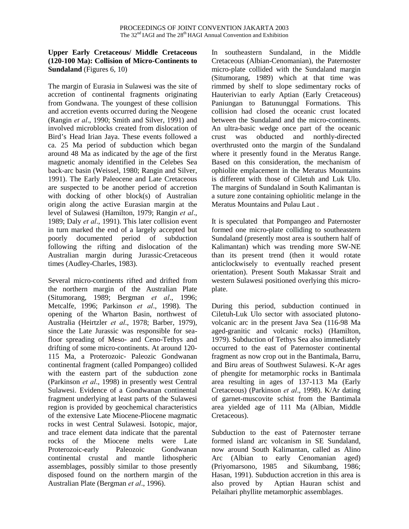### **Upper Early Cretaceous/ Middle Cretaceous (120-100 Ma): Collision of Micro-Continents to Sundaland** (Figures 6, 10)

The margin of Eurasia in Sulawesi was the site of accretion of continental fragments originating from Gondwana. The youngest of these collision and accretion events occurred during the Neogene (Rangin *et al*., 1990; Smith and Silver, 1991) and involved microblocks created from dislocation of Bird's Head Irian Jaya. These events followed a ca. 25 Ma period of subduction which began around 48 Ma as indicated by the age of the first magnetic anomaly identified in the Celebes Sea back-arc basin (Weissel, 1980; Rangin and Silver, 1991). The Early Paleocene and Late Cretaceous are suspected to be another period of accretion with docking of other block(s) of Australian origin along the active Eurasian margin at the level of Sulawesi (Hamilton, 1979; Rangin *et al*., 1989; Daly *et al*., 1991). This later collision event in turn marked the end of a largely accepted but poorly documented period of subduction following the rifting and dislocation of the Australian margin during Jurassic-Cretaceous times (Audley-Charles, 1983).

Several micro-continents rifted and drifted from the northern margin of the Australian Plate (Situmorang, 1989; Bergman *et al*., 1996; Metcalfe, 1996; Parkinson *et al*., 1998). The opening of the Wharton Basin, northwest of Australia (Heirtzler *et al*., 1978; Barber, 1979), since the Late Jurassic was responsible for seafloor spreading of Meso- and Ceno-Tethys and drifting of some micro-continents. At around 120- 115 Ma, a Proterozoic- Paleozic Gondwanan continental fragment (called Pompangeo) collided with the eastern part of the subduction zone (Parkinson *et al*., 1998) in presently west Central Sulawesi. Evidence of a Gondwanan continental fragment underlying at least parts of the Sulawesi region is provided by geochemical characteristics of the extensive Late Miocene-Pliocene magmatic rocks in west Central Sulawesi. Isotopic, major, and trace element data indicate that the parental rocks of the Miocene melts were Late Proterozoic-early Paleozoic Gondwanan continental crustal and mantle lithospheric assemblages, possibly similar to those presently disposed found on the northern margin of the Australian Plate (Bergman *et al*., 1996).

In southeastern Sundaland, in the Middle Cretaceous (Albian-Cenomanian), the Paternoster micro-plate collided with the Sundaland margin (Situmorang, 1989) which at that time was rimmed by shelf to slope sedimentary rocks of Hauterivian to early Aptian (Early Cretaceous) Paniungan to Batununggal Formations. This collision had closed the oceanic crust located between the Sundaland and the micro-continents. An ultra-basic wedge once part of the oceanic crust was obducted and northly-directed overthrusted onto the margin of the Sundaland where it presently found in the Meratus Range. Based on this consideration, the mechanism of ophiolite emplacement in the Meratus Mountains is different with those of Ciletuh and Luk Ulo. The margins of Sundaland in South Kalimantan is a suture zone containing ophiolitic melange in the Meratus Mountains and Pulau Laut .

It is speculated that Pompangeo and Paternoster formed one micro-plate colliding to southeastern Sundaland (presently most area is southern half of Kalimantan) which was trending more SW-NE than its present trend (then it would rotate anticlockwisely to eventually reached present orientation). Present South Makassar Strait and western Sulawesi positioned overlying this microplate.

During this period, subduction continued in Ciletuh-Luk Ulo sector with associated plutonovolcanic arc in the present Java Sea (116-98 Ma aged-granitic and volcanic rocks) (Hamilton, 1979). Subduction of Tethys Sea also immediately occurred to the east of Paternoster continental fragment as now crop out in the Bantimala, Barru, and Biru areas of Southwest Sulawesi. K-Ar ages of phengite for metamorphic rocks in Bantimala area resulting in ages of 137-113 Ma (Early Cretaceous) (Parkinson *et al*., 1998). K/Ar dating of garnet-muscovite schist from the Bantimala area yielded age of 111 Ma (Albian, Middle Cretaceous).

Subduction to the east of Paternoster terrane formed island arc volcanism in SE Sundaland, now around South Kalimantan, called as Alino Arc (Albian to early Cenomanian aged) (Priyomarsono, 1985 and Sikumbang, 1986; Hasan, 1991). Subduction accretion in this area is also proved by Aptian Hauran schist and Pelaihari phyllite metamorphic assemblages.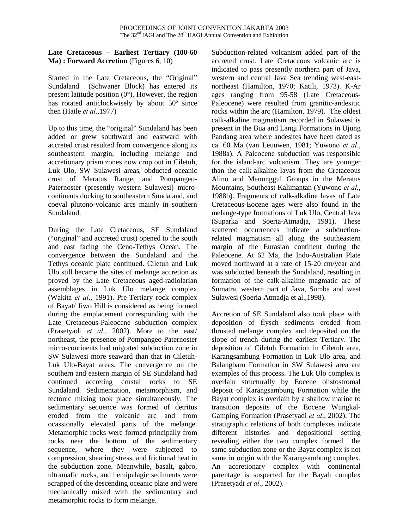### **Late Cretaceous – Earliest Tertiary (100-60 Ma)** : **Forward Accretion** (Figures 6, 10)

Started in the Late Cretaceous, the "Original" Sundaland (Schwaner Block) has entered its present latitude position  $(0^{\circ})$ . However, the region has rotated anticlockwisely by about 50º since then (Haile *et al*.,1977)

Up to this time, the "original" Sundaland has been added or grew southward and eastward with accreted crust resulted from convergence along its southeastern margin, including melange and accretionary prism zones now crop out in Ciletuh, Luk Ulo, SW Sulawesi areas, obducted oceanic crust of Meratus Range, and Pompangeo-Paternoster (presently western Sulawesi) microcontinents docking to southeastern Sundaland, and coeval plutono-volcanic arcs mainly in southern Sundaland.

During the Late Cretaceous, SE Sundaland ("original" and accreted crust) opened to the south and east facing the Ceno-Tethys Ocean. The convergence between the Sundaland and the Tethys oceanic plate continued. Ciletuh and Luk Ulo still became the sites of melange accretion as proved by the Late Cretaceous aged-radiolarian assemblages in Luk Ulo melange complex (Wakita *et al*., 1991). Pre-Tertiary rock complex of Bayat/ Jiwo Hill is considered as being formed during the emplacement corresponding with the Late Cretaceous-Paleocene subduction complex (Prasetyadi *et al*., 2002). More to the east/ northeast, the presence of Pompangeo-Paternoster micro-continents had migrated subduction zone in SW Sulawesi more seaward than that in Ciletuh-Luk Ulo-Bayat areas. The convergence on the southern and eastern margin of SE Sundaland had continued accreting crustal rocks to SE Sundaland. Sedimentation, metamorphism, and tectonic mixing took place simultaneously. The sedimentary sequence was formed of detritus eroded from the volcanic arc and from ocassionally elevated parts of the melange. Metamorphic rocks were formed principally from rocks near the bottom of the sedimentary sequence, where they were subjected to compression, shearing stress, and frictional heat in the subduction zone. Meanwhile, basalt, gabro, ultramafic rocks, and hemipelagic sediments were scrapped of the descending oceanic plate and were mechanically mixed with the sedimentary and metamorphic rocks to form melange.

Subduction-related volcanism added part of the accreted crust. Late Cretaceous volcanic arc is indicated to pass presently northern part of Java, western and central Java Sea trending west-eastnortheast (Hamilton, 1970; Katili, 1973). K-Ar ages ranging from 95-58 (Late Cretaceous-Paleocene) were resulted from granitic-andesitic rocks within the arc (Hamilton, 1979). The oldest calk-alkaline magmatism recorded in Sulawesi is present in the Bua and Langi Formations in Ujung Pandang area where andesites have been dated as ca. 60 Ma (van Leuuwen, 1981; Yuwono *et al*., 1988a). A Paleocene subduction was responsible for the island-arc volcanism. They are younger than the calk-alkaline lavas from the Cretaceous Alino and Manunggul Groups in the Meratus Mountains, Southeast Kalimantan (Yuwono *et al.*, 1988b). Fragments of calk-alkaline lavas of Late Cretaceous-Eocene ages were also found in the melange-type formations of Luk Ulo, Central Java (Suparka and Soeria-Atmadja, 1991). These scattered occurrences indicate a subductionrelated magmatism all along the southeastern margin of the Eurasian continent during the Paleocene. At 62 Ma, the Indo-Australian Plate moved northward at a rate of 15-20 cm/year and was subducted beneath the Sundaland, resulting in formation of the calk-alkaline magmatic arc of Sumatra, western part of Java, Sumba and west Sulawesi (Soeria-Atmadja et al.,1998).

Accretion of SE Sundaland also took place with deposition of flysch sediments eroded from thrusted melange complex and deposited on the slope of trench during the earliest Tertiary. The deposition of Ciletuh Formation in Ciletuh area, Karangsambung Formation in Luk Ulo area, and Balangbaru Formation in SW Sulawesi area are examples of this process. The Luk Ulo complex is overlain structurally by Eocene olistostromal deposit of Karangsambung Formation while the Bayat complex is overlain by a shallow marine to transition deposits of the Eocene Wungkal-Gamping Formation (Prasetyadi *et al*., 2002). The stratigraphic relations of both complexes indicate different histories and depositional setting revealing either the two complex formed the same subduction zone or the Bayat complex is not same in origin with the Karangsambung complex. An accretionary complex with continental parentage is suspected for the Bayah complex (Prasetyadi *et al*., 2002).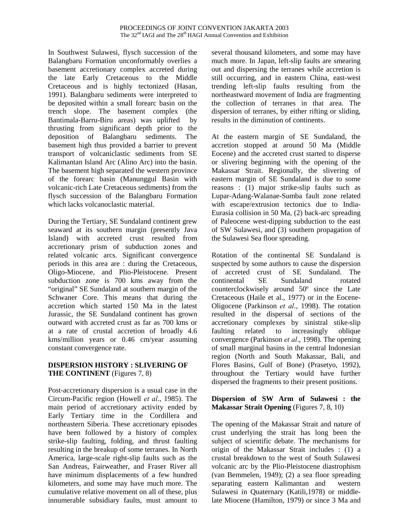In Southwest Sulawesi, flysch succession of the Balangbaru Formation unconformably overlies a basement accretionary complex accreted during the late Early Cretaceous to the Middle Cretaceous and is highly tectonized (Hasan, 1991). Balangbaru sediments were interpreted to be deposited within a small forearc basin on the trench slope. The basement complex (the Bantimala-Barru-Biru areas) was uplifted by thrusting from significant depth prior to the deposition of Balangbaru sediments. The basement high thus provided a barrier to prevent transport of volcaniclastic sediments from SE Kalimantan Island Arc (Alino Arc) into the basin. The basement high separated the western province of the forearc basin (Manunggul Basin with volcanic-rich Late Cretaceous sediments) from the flysch succession of the Balangbaru Formation which lacks volcanoclastic material.

During the Tertiary, SE Sundaland continent grew seaward at its southern margin (presently Java Island) with accreted crust resulted from accretionary prism of subduction zones and related volcanic arcs. Significant convergence periods in this area are : during the Cretaceous, Oligo-Miocene, and Plio-Pleistocene. Present subduction zone is 700 kms away from the "original" SE Sundaland at southern margin of the Schwaner Core. This means that during the accretion which started 150 Ma in the latest Jurassic, the SE Sundaland continent has grown outward with accreted crust as far as 700 kms or at a rate of crustal accretion of broadly 4.6 kms/million years or 0.46 cm/year assuming constant convergence rate.

## **DISPERSION HISTORY : SLIVERING OF THE CONTINENT** (Figures 7, 8)

Post-accretionary dispersion is a usual case in the Circum-Pacific region (Howell *et al*., 1985). The main period of accretionary activity ended by Early Tertiary time in the Cordillera and northeastern Siberia. These accretionary episodes have been followed by a history of complex strike-slip faulting, folding, and thrust faulting resulting in the breakup of some terranes. In North America, large-scale right-slip faults such as the San Andreas, Fairweather, and Fraser River all have minimum displacements of a few hundred kilometers, and some may have much more. The cumulative relative movement on all of these, plus innumerable subsidiary faults, must amount to several thousand kilometers, and some may have much more. In Japan, left-slip faults are smearing out and dispersing the terranes while accretion is still occurring, and in eastern China, east-west trending left-slip faults resulting from the northeastward movement of India are fragmenting the collection of terranes in that area. The dispersion of terranes, by either rifting or sliding, results in the diminution of continents.

At the eastern margin of SE Sundaland, the accretion stopped at around 50 Ma (Middle Eocene) and the accreted crust started to disperse or slivering beginning with the opening of the Makassar Strait. Regionally, the slivering of eastern margin of SE Sundaland is due to some reasons : (1) major strike-slip faults such as Lupar-Adang-Walanae-Sumba fault zone related with escape/extrusion tectonics due to India-Eurasia collision in 50 Ma, (2) back-arc spreading of Paleocene west-dipping subduction to the east of SW Sulawesi, and (3) southern propagation of the Sulawesi Sea floor spreading.

Rotation of the continental SE Sundaland is suspected by some authors to cause the dispersion of accreted crust of SE Sundaland. The continental SE Sundaland rotated counterclockwisely around 50º since the Late Cretaceous (Haile et al., 1977) or in the Eocene-Oligocene (Parkinson *et al*., 1998). The rotation resulted in the dispersal of sections of the accretionary complexes by sinistral stike-slip faulting related to increasingly oblique convergence (Parkinson *et al*., 1998). The opening of small marginal basins in the central Indonesian region (North and South Makassar, Bali, and Flores Basins, Gulf of Bone) (Prasetyo, 1992), throughout the Tertiary would have further dispersed the fragments to their present positions.

# **Dispersion of SW Arm of Sulawesi : the Makassar Strait Opening** (Figures 7, 8, 10)

The opening of the Makassar Strait and nature of crust underlying the strait has long been the subject of scientific debate. The mechanisms for origin of the Makassar Strait includes : (1) a crustal breakdown to the west of South Sulawesi volcanic arc by the Plio-Pleistocene diastrophism (van Bemmelen, 1949); (2) a sea floor spreading separating eastern Kalimantan and western Sulawesi in Quaternary (Katili,1978) or middlelate Miocene (Hamilton, 1979) or since 3 Ma and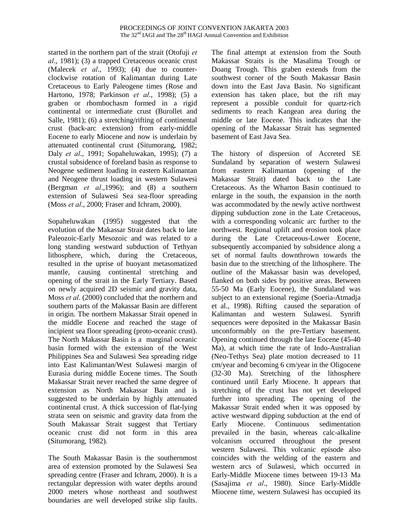started in the northern part of the strait (Otofuji *et al*., 1981); (3) a trapped Cretaceous oceanic crust (Malecek *et al*., 1993); (4) due to counterclockwise rotation of Kalimantan during Late Cretaceous to Early Paleogene times (Rose and Hartono, 1978; Parkinson *et al*., 1998); (5) a graben or rhombochasm formed in a rigid continental or intermediate crust (Burollet and Salle, 1981); (6) a stretching/rifting of continental crust (back-arc extension) from early-middle Eocene to early Miocene and now is underlain by attenuated continental crust (Situmorang, 1982; Daly *et al*., 1991; Sopaheluwakan, 1995); (7) a crustal subsidence of foreland basin as response to Neogene sediment loading in eastern Kalimantan and Neogene thrust loading in western Sulawesi (Bergman *et al*.,1996); and (8) a southern extension of Sulawesi Sea sea-floor spreading (Moss *et al*., 2000; Fraser and Ichram, 2000).

Sopaheluwakan (1995) suggested that the evolution of the Makassar Strait dates back to late Paleozoic-Early Mesozoic and was related to a long standing westward subduction of Tethyan lithosphere, which, during the Cretaceous, resulted in the uprise of buoyant metasomatized mantle, causing continental stretching and opening of the strait in the Early Tertiary. Based on newly acquired 2D seismic and gravity data, Moss *et al*. (2000) concluded that the northern and southern parts of the Makassar Basin are different in origin. The northern Makassar Strait opened in the middle Eocene and reached the stage of incipient sea floor spreading (proto-oceanic crust). The North Makassar Basin is a marginal oceanic basin formed with the extension of the West Philippines Sea and Sulawesi Sea spreading ridge into East Kalimantan/West Sulawesi margin of Eurasia during middle Eocene times. The South Makassar Strait never reached the same degree of extension as North Makassar Bain and is suggested to be underlain by highly attenuated continental crust. A thick succession of flat-lying strata seen on seismic and gravity data from the South Makassar Strait suggest that Tertiary oceanic crust did not form in this area (Situmorang, 1982).

The South Makassar Basin is the southernmost area of extension promoted by the Sulawesi Sea spreading centre (Fraser and Ichram, 2000). It is a rectangular depression with water depths around 2000 meters whose northeast and southwest boundaries are well developed strike slip faults.

The final attempt at extension from the South Makassar Straits is the Masalima Trough or Doang Trough. This graben extends from the southwest corner of the South Makassar Basin down into the East Java Basin. No significant extension has taken place, but the rift may represent a possible conduit for quartz-rich sediments to reach Kangean area during the middle or late Eocene. This indicates that the opening of the Makassar Strait has segmented basement of East Java Sea.

The history of dispersion of Accreted SE Sundaland by separation of western Sulawesi from eastern Kalimantan (opening of the Makassar Strait) dated back to the Late Cretaceous. As the Wharton Basin continued to enlarge in the south, the expansion in the north was accommodated by the newly active northwest dipping subduction zone in the Late Cretaceous, with a corresponding volcanic arc further to the northwest. Regional uplift and erosion took place during the Late Cretaceous-Lower Eocene, subsequently accompanied by subsidence along a set of normal faults downthrown towards the basin due to the stretching of the lithosphere. The outline of the Makassar basin was developed, flanked on both sides by positive areas. Between 55-50 Ma (Early Eocene), the Sundaland was subject to an extensional regime (Soeria-Atmadja et al., 1998). Rifting caused the separation of Kalimantan and western Sulawesi. Synrift sequences were deposited in the Makassar Basin unconformably on the pre-Tertiary basement. Opening continued through the late Eocene (45-40 Ma), at which time the rate of Indo-Australian (Neo-Tethys Sea) plate motion decreased to 11 cm/year and becoming 6 cm/year in the Oligocene (32-30 Ma). Stretching of the lithosphere continued until Early Miocene. It appears that stretching of the crust has not yet developed further into spreading. The opening of the Makassar Strait ended when it was opposed by active westward dipping subduction at the end of Early Miocene. Continuous sedimentation prevailed in the basin, whereas calc-alkaline volcanism occurred throughout the present western Sulawesi. This volcanic episode also coincides with the welding of the eastern and western arcs of Sulawesi, which occurred in Early-Middle Miocene times between 19-13 Ma (Sasajima *et al*., 1980). Since Early-Middle Miocene time, western Sulawesi has occupied its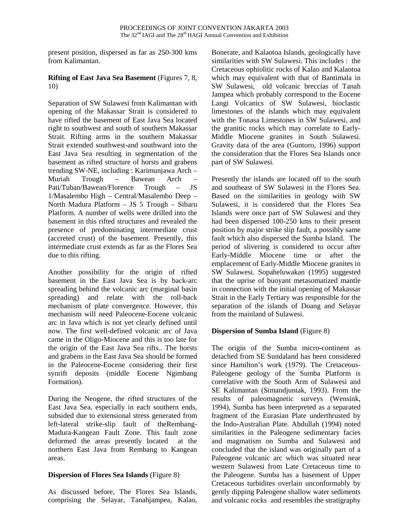present position, dispersed as far as 250-300 kms from Kalimantan.

## **Rifting of East Java Sea Basement** (Figures 7, 8, 10)

Separation of SW Sulawesi from Kalimantan with opening of the Makassar Strait is considered to have rifted the basement of East Java Sea located right to southwest and south of southern Makassar Strait. Rifting arms in the southern Makassar Strait extended southwest-and southward into the East Java Sea resulting in segmentation of the basement as rifted structure of horsts and grabens trending SW-NE, including : Karimunjawa Arch – Muriah Trough – Bawean Arch – Pati/Tuban/Bawean/Florence Trough – JS 1/Masalembo High – Central/Masalembo Deep – North Madura Platform – JS 5 Trough – Sibaru Platform. A number of wells were drilled into the basement in this rifted structures and revealed the presence of predominating intermediate crust (accreted crust) of the basement. Presently, this intermediate crust extends as far as the Flores Sea due to this rifting.

Another possibility for the origin of rifted basement in the East Java Sea is by back-arc spreading behind the volcanic arc (marginal basin spreading) and relate with the roll-back mechanism of plate convergence. However, this mechanism will need Paleocene-Eocene volcanic arc in Java which is not yet clearly defined until now. The first well-defined volcanic arc of Java came in the Oligo-Miocene and this is too late for the origin of the East Java Sea rifts.. The horsts and grabens in the East Java Sea should be formed in the Paleocene-Eocene considering their first synrift deposits (middle Eocene Ngimbang Formation).

During the Neogene, the rifted structures of the East Java Sea, especially in each southern ends, subsided due to extensional stress generated from left-lateral strike-slip fault of theRembang-Madura-Kangean Fault Zone. This fault zone deformed the areas presently located at the northern East Java from Rembang to Kangean areas.

# **Dispersion of Flores Sea Islands** (Figure 8)

As discussed before, The Flores Sea Islands, comprising the Selayar, Tanahjampea, Kalao, Bonerate, and Kalaotoa Islands, geologically have similarities with SW Sulawesi. This includes : the Cretaceous ophiolitic rocks of Kalao and Kalaotoa which may equivalent with that of Bantimala in SW Sulawesi, old volcanic breccias of Tanah Jampea which probably correspond to the Eocene Langi Volcanics of SW Sulawesi, bioclastic limestones of the islands which may equivalent with the Tonasa Limestones in SW Sulawesi, and the granitic rocks which may correlate to Early-Middle Miocene granites in South Sulawesi. Gravity data of the area (Guntoro, 1996) support the consideration that the Flores Sea Islands once part of SW Sulawesi.

Presently the islands are located off to the south and southeast of SW Sulawesi in the Flores Sea. Based on the similarities in geology with SW Sulawesi, it is considered that the Flores Sea Islands were once part of SW Sulawesi and they had been dispersed 100-250 kms to their present position by major strike slip fault, a possibly same fault which also dispersed the Sumba Island. The period of slivering is considered to occur after Early-Middle Miocene time or after the emplacement of Early-Middle Miocene granites in SW Sulawesi. Sopaheluwakan (1995) suggested that the uprise of buoyant metasomatized mantle in connection with the initial opening of Makassar Strait in the Early Tertiary was responsible for the separation of the islands of Doang and Selayar from the mainland of Sulawesi.

### **Dispersion of Sumba Island** (Figure 8)

The origin of the Sumba micro-continent as detached from SE Sundaland has been considered since Hamilton's work (1979). The Cretaceous-Paleogene geology of the Sumba Platform is correlative with the South Arm of Sulawesi and SE Kalimantan (Simandjuntak, 1993). From the results of paleomagnetic surveys (Wensink, 1994), Sumba has been interpreted as a separated fragment of the Eurasian Plate underthrusted by the Indo-Australian Plate. Abdullah (1994) noted similarities in the Paleogene sedimentary facies and magmatism on Sumba and Sulawesi and concluded that the island was originally part of a Paleogene volcanic arc which was situated near western Sulawesi from Late Cretaceous time to the Paleogene. Sumba has a basement of Upper Cretaceous turbidites overlain unconformably by gently dipping Paleogene shallow water sediments and volcanic rocks and resembles the stratigraphy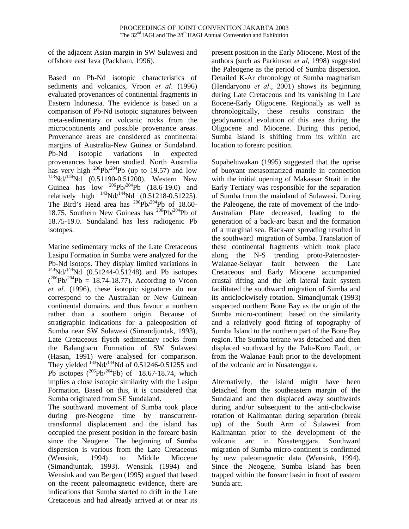of the adjacent Asian margin in SW Sulawesi and offshore east Java (Packham, 1996).

Based on Pb-Nd isotopic characteristics of sediments and volcanics, Vroon *et al*. (1996) evaluated provenances of continental fragments in Eastern Indonesia. The evidence is based on a comparison of Pb-Nd isotopic signatures between meta-sedimentary or volcanic rocks from the microcontinents and possible provenance areas. Provenance areas are considered as continental margins of Australia-New Guinea or Sundaland. Pb-Nd isotopic variations in expected provenances have been studied. North Australia has very high  $^{206}Pb^{204}Pb$  (up to 19.57) and low  $^{143}$ Nd/<sup>144</sup>Nd (0.51190-0.51200). Western New Guinea has low  $^{206}Pb/^{204}Pb$  (18.6-19.0) and relatively high  $^{143}$ Nd/<sup>144</sup>Nd (0.51218-0.51225). The Bird's Head area has <sup>206</sup>Pb/<sup>204</sup>Pb of 18.60-18.75. Southern New Guineas has  $206Pb/204Pb$  of 18.75-19.0. Sundaland has less radiogenic Pb isotopes.

Marine sedimentary rocks of the Late Cretaceous Lasipu Formation in Sumba were analyzed for the Pb-Nd isotops. They display limited variations in  $143$ Nd/ $144$ Nd (0.51244-0.51248) and Pb isotopes  $(^{206}Pb/^{204}Pb = 18.74-18.77)$ . According to Vroon *et al*. (1996), these isotopic signatures do not correspond to the Australian or New Guinean continental domains, and thus favour a northern rather than a southern origin. Because of stratigraphic indications for a paleoposition of Sumba near SW Sulawesi (Simandjuntak, 1993), Late Cretaceous flysch sedimentary rocks from the Balangbaru Formation of SW Sulawesi (Hasan, 1991) were analysed for comparison. They yielded  $^{143}$ Nd/<sup>144</sup>Nd of 0.51246-0.51255 and Pb isotopes  $(^{206}Pb/^{204}Pb)$  of 18.67-18.74, which implies a close isotopic similarity with the Lasipu Formation. Based on this, it is considered that Sumba originated from SE Sundaland.

The southward movement of Sumba took place during pre-Neogene time by transcurrenttransformal displacement and the island has occupied the present position in the forearc basin since the Neogene. The beginning of Sumba dispersion is various from the Late Cretaceous (Wensink, 1994) to Middle Miocene (Simandjuntak, 1993). Wensink (1994) and Wensink and van Bergen (1995) argued that based on the recent paleomagnetic evidence, there are indications that Sumba started to drift in the Late Cretaceous and had already arrived at or near its

present position in the Early Miocene. Most of the authors (such as Parkinson *et al*, 1998) suggested the Paleogene as the period of Sumba dispersion. Detailed K-Ar chronology of Sumba magmatism (Hendaryono *et al*., 2001) shows its beginning during Late Cretaceous and its vanishing in Late Eocene-Early Oligocene. Regionally as well as chronologically, these results constrain the geodynamical evolution of this area during the Oligocene and Miocene. During this period, Sumba Island is shifting from its within arc location to forearc position.

Sopaheluwakan (1995) suggested that the uprise of buoyant metasomatized mantle in connection with the initial opening of Makassar Strait in the Early Tertiary was responsible for the separation of Sumba from the mainland of Sulawesi. During the Paleogene, the rate of movement of the Indo-Australian Plate decreased, leading to the generation of a back-arc basin and the formation of a marginal sea. Back-arc spreading resulted in the southward migration of Sumba. Translation of these continental fragments which took place along the N-S trending proto-Paternoster-Walanae-Selayar fault between the Late Cretaceous and Early Miocene accompanied crustal rifting and the left lateral fault system facilitated the southward migration of Sumba and its anticlockwisely rotation. Simandjuntak (1993) suspected northern Bone Bay as the origin of the Sumba micro-continent based on the similarity and a relatively good fitting of topography of Sumba Island to the northern part of the Bone Bay region. The Sumba terrane was detached and then displaced southward by the Palu-Koro Fault, or from the Walanae Fault prior to the development of the volcanic arc in Nusatenggara.

Alternatively, the island might have been detached from the southeastern margin of the Sundaland and then displaced away southwards during and/or subsequent to the anti-clockwise rotation of Kalimantan during separation (break up) of the South Arm of Sulawesi from Kalimantan prior to the development of the volcanic arc in Nusatenggara. Southward migration of Sumba micro-continent is confirmed by new paleomagnetic data (Wensink, 1994). Since the Neogene, Sumba Island has been trapped within the forearc basin in front of eastern Sunda arc.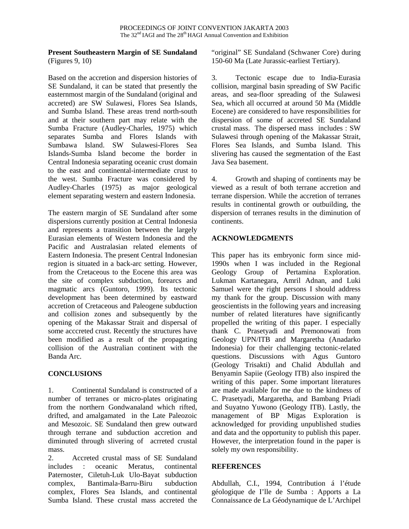#### **Present Southeastern Margin of SE Sundaland** (Figures 9, 10)

Based on the accretion and dispersion histories of SE Sundaland, it can be stated that presently the easternmost margin of the Sundaland (original and accreted) are SW Sulawesi, Flores Sea Islands, and Sumba Island. These areas trend north-south and at their southern part may relate with the Sumba Fracture (Audley-Charles, 1975) which separates Sumba and Flores Islands with Sumbawa Island. SW Sulawesi-Flores Sea Islands-Sumba Island become the border in Central Indonesia separating oceanic crust domain to the east and continental-intermediate crust to the west. Sumba Fracture was considered by Audley-Charles (1975) as major geological element separating western and eastern Indonesia.

The eastern margin of SE Sundaland after some dispersions currently position at Central Indonesia and represents a transition between the largely Eurasian elements of Western Indonesia and the Pacific and Australasian related elements of Eastern Indonesia. The present Central Indonesian region is situated in a back-arc setting. However, from the Cretaceous to the Eocene this area was the site of complex subduction, forearcs and magmatic arcs (Guntoro, 1999). Its tectonic development has been determined by eastward accretion of Cretaceous and Paleogene subduction and collision zones and subsequently by the opening of the Makassar Strait and dispersal of some acccreted crust. Recently the structures have been modified as a result of the propagating collision of the Australian continent with the Banda Arc.

### **CONCLUSIONS**

1. Continental Sundaland is constructed of a number of terranes or micro-plates originating from the northern Gondwanaland which rifted, drifted, and amalgamated in the Late Paleozoic and Mesozoic. SE Sundaland then grew outward through terrane and subduction accretion and diminuted through slivering of acrreted crustal mass.

2. Accreted crustal mass of SE Sundaland includes : oceanic Meratus, continental Paternoster, Ciletuh-Luk Ulo-Bayat subduction complex, Bantimala-Barru-Biru subduction complex, Flores Sea Islands, and continental Sumba Island. These crustal mass accreted the "original" SE Sundaland (Schwaner Core) during 150-60 Ma (Late Jurassic-earliest Tertiary).

3. Tectonic escape due to India-Eurasia collision, marginal basin spreading of SW Pacific areas, and sea-floor spreading of the Sulawesi Sea, which all occurred at around 50 Ma (Middle Eocene) are considered to have responsibilities for dispersion of some of accreted SE Sundaland crustal mass. The dispersed mass includes : SW Sulawesi through opening of the Makassar Strait, Flores Sea Islands, and Sumba Island. This slivering has caused the segmentation of the East Java Sea basement.

4. Growth and shaping of continents may be viewed as a result of both terrane accretion and terrane dispersion. While the accretion of terranes results in continental growth or outbuilding, the dispersion of terranes results in the diminution of continents.

# **ACKNOWLEDGMENTS**

This paper has its embryonic form since mid-1990s when I was included in the Regional Geology Group of Pertamina Exploration. Lukman Kartanegara, Amril Adnan, and Luki Samuel were the right persons I should address my thank for the group. Discussion with many geoscientists in the following years and increasing number of related literatures have significantly propelled the writing of this paper. I especially thank C. Prasetyadi and Premonowati from Geology UPN/ITB and Margaretha (Anadarko Indonesia) for their challenging tectonic-related questions. Discussions with Agus Guntoro (Geology Trisakti) and Chalid Abdullah and Benyamin Sapiie (Geology ITB) also inspired the writing of this paper. Some important literatures are made available for me due to the kindness of C. Prasetyadi, Margaretha, and Bambang Priadi and Suyatno Yuwono (Geology ITB). Lastly, the management of BP Migas Exploration is acknowledged for providing unpublished studies and data and the opportunity to publish this paper. However, the interpretation found in the paper is solely my own responsibility.

# **REFERENCES**

Abdullah, C.I., 1994, Contribution á l'étude géologique de I'lle de Sumba : Apports a La Connaissance de La Géodynamique de L'Archipel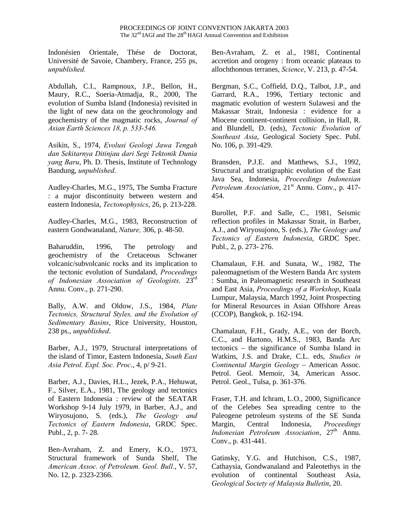Indonésien Orientale, Thése de Doctorat, Université de Savoie, Chambery, France, 255 ps, *unpublished.*

Abdullah, C.I., Rampnoux, J.P., Bellon, H., Maury, R.C., Soeria-Atmadja, R., 2000, The evolution of Sumba Island (Indonesia) revisited in the light of new data on the geochronology and geochemistry of the magmatic rocks, *Journal of Asian Earth Sciences 18, p. 533-546.*

Asikin, S., 1974, *Evolusi Geologi Jawa Tengah dan Sekitarnya Ditinjau dari Segi Tektonik Dunia yang Baru*, Ph. D. Thesis, Institute of Technology Bandung, *unpublished*.

Audley-Charles, M.G., 1975, The Sumba Fracture : a major discontinuity between western and eastern Indonesia, *Tectonophysics*, 26, p. 213-228.

Audley-Charles, M.G., 1983, Reconstruction of eastern Gondwanaland, *Nature,* 306, p. 48-50.

Baharuddin, 1996, The petrology and geochemistry of the Cretaceous Schwaner volcanic/subvolcanic rocks and its implication to the tectonic evolution of Sundaland, *Proceedings of Indonesian Association of Geologists,* 23rd Annu. Conv., p. 271-290.

Bally, A.W. and Oldow, J.S., 1984, *Plate Tectonics, Structural Styles, and the Evolution of Sedimentary Basins*, Rice University, Houston, 238 ps., *unpublished*.

Barber, A.J., 1979, Structural interpretations of the island of Timor, Eastern Indonesia, *South East Asia Petrol. Expl. Soc. Proc*., 4, p/ 9-21.

Barber, A.J., Davies, H.L., Jezek, P.A., Hehuwat, F., Silver, E.A., 1981, The geology and tectonics of Eastern Indonesia : review of the SEATAR Workshop 9-14 July 1979, in Barber, A.J., and Wiryosujono, S. (eds.), *The Geology and Tectonics of Eastern Indonesia*, GRDC Spec. Publ., 2, p. 7- 28.

Ben-Avraham, Z. and Emery, K.O., 1973, Structural framework of Sunda Shelf, The *American Assoc. of Petroleum. Geol. Bull.*, V. 57, No. 12, p. 2323-2366.

Ben-Avraham, Z. et al., 1981, Continental accretion and orogeny : from oceanic plateaus to allochthonous terranes, *Science*, V. 213, p. 47-54.

Bergman, S.C., Coffield, D.Q., Talbot, J.P., and Garrard, R.A., 1996, Tertiary tectonic and magmatic evolution of western Sulawesi and the Makassar Strait, Indonesia : evidence for a Miocene continent-continent collision, in Hall, R. and Blundell, D. (eds), *Tectonic Evolution of Southeast Asia*, Geological Society Spec. Publ. No. 106, p. 391-429.

Bransden, P.J.E. and Matthews, S.J., 1992, Structural and stratigraphic evolution of the East Java Sea, Indonesia, *Proceedings Indonesian Petroleum Association*, 21<sup>st</sup> Annu. Conv., p. 417-454.

Burollet, P.F. and Salle, C., 1981, Seismic reflection profiles in Makassar Strait, in Barber, A.J., and Wiryosujono, S. (eds.), *The Geology and Tectonics of Eastern Indonesia*, GRDC Spec. Publ., 2, p. 273- 276.

Chamalaun, F.H. and Sunata, W., 1982, The paleomagnetism of the Western Banda Arc system : Sumba, in Paleomagnetic research in Southeast and East Asia, *Proceedings of a Workshop*, Kuala Lumpur, Malaysia, March 1992, Joint Prospecting for Mineral Resources in Asian Offshore Areas (CCOP), Bangkok, p. 162-194.

Chamalaun, F.H., Grady, A.E., von der Borch, C.C., and Hartono, H.M.S., 1983, Banda Arc tectonics – the significance of Sumba Island in Watkins, J.S. and Drake, C.L. eds, *Studies in Continental Margin Geology* – American Assoc. Petrol. Geol. Memoir, 34, American Assoc. Petrol. Geol., Tulsa, p. 361-376.

Fraser, T.H. and Ichram, L.O., 2000, Significance of the Celebes Sea spreading centre to the Paleogene petroleum systems of the SE Sunda Margin, Central Indonesia, *Proceedings Indonesian Petroleum Association*, 27<sup>th</sup> Annu. Conv., p. 431-441.

Gatinsky, Y.G. and Hutchison, C.S., 1987, Cathaysia, Gondwanaland and Paleotethys in the evolution of continental Southeast Asia, *Geological Society of Malaysia Bulletin*, 20.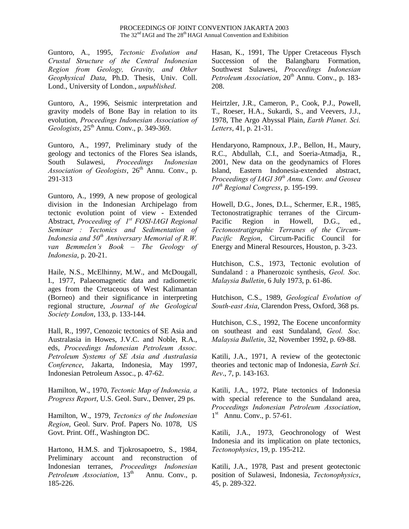Guntoro, A., 1995, *Tectonic Evolution and Crustal Structure of the Central Indonesian Region from Geology, Gravity, and Other Geophysical Data*, Ph.D. Thesis, Univ. Coll. Lond., University of London., *unpublished*.

Guntoro, A., 1996, Seismic interpretation and gravity models of Bone Bay in relation to its evolution, *Proceedings Indonesian Association of Geologists*,  $25^{\text{th}}$  Annu. Conv., p. 349-369.

Guntoro, A., 1997, Preliminary study of the geology and tectonics of the Flores Sea islands, South Sulawesi, *Proceedings Indonesian Association of Geologists,*  $26<sup>th</sup>$  Annu. Conv., p. 291-313

Guntoro, A., 1999, A new propose of geological division in the Indonesian Archipelago from tectonic evolution point of view - Extended Abstract, *Proceeding of 1st FOSI-IAGI Regional Seminar : Tectonics and Sedimentation of Indonesia and 50th Anniversary Memorial of R.W. van Bemmelen's Book – The Geology of Indonesia*, p. 20-21.

Haile, N.S., McElhinny, M.W., and McDougall, I., 1977, Palaeomagnetic data and radiometric ages from the Cretaceous of West Kalimantan (Borneo) and their significance in interpreting regional structure, *Journal of the Geological Society London*, 133, p. 133-144.

Hall, R., 1997, Cenozoic tectonics of SE Asia and Australasia in Howes, J.V.C. and Noble, R.A., eds, *Proceedings Indonesian Petroleum Assoc. Petroleum Systems of SE Asia and Australasia Conference*, Jakarta, Indonesia, May 1997, Indonesian Petroleum Assoc., p. 47-62.

Hamilton, W., 1970, *Tectonic Map of Indonesia, a Progress Report*, U.S. Geol. Surv., Denver, 29 ps.

Hamilton, W., 1979, *Tectonics of the Indonesian Region*, Geol. Surv. Prof. Papers No. 1078, US Govt. Print. Off., Washington DC.

Hartono, H.M.S. and Tjokrosapoetro, S., 1984, Preliminary account and reconstruction of Indonesian terranes, *Proceedings Indonesian Petroleum Association*, 13<sup>th</sup> Annu. Conv., p. 185-226.

Hasan, K., 1991, The Upper Cretaceous Flysch Succession of the Balangbaru Formation, Southwest Sulawesi, *Proceedings Indonesian Petroleum Association*, 20<sup>th</sup> Annu. Conv., p. 183-208.

Heirtzler, J.R., Cameron, P., Cook, P.J., Powell, T., Roeser, H.A., Sukardi, S., and Veevers, J.J., 1978, The Argo Abyssal Plain, *Earth Planet. Sci. Letters*, 41, p. 21-31.

Hendaryono, Rampnoux, J.P., Bellon, H., Maury, R.C., Abdullah, C.I., and Soeria-Atmadja, R., 2001, New data on the geodynamics of Flores Island, Eastern Indonesia-extended abstract, *Proceedings of IAGI 30th Annu. Conv. and Geosea 10th Regional Congress*, p. 195-199.

Howell, D.G., Jones, D.L., Schermer, E.R., 1985, Tectonostratigraphic terranes of the Circum-Pacific Region in Howell, D.G., ed., *Tectonostratigraphic Terranes of the Circum-Pacific Region*, Circum-Pacific Council for Energy and Mineral Resources, Houston, p. 3-23.

Hutchison, C.S., 1973, Tectonic evolution of Sundaland : a Phanerozoic synthesis, *Geol. Soc. Malaysia Bulletin*, 6 July 1973, p. 61-86.

Hutchison, C.S., 1989, *Geological Evolution of South-east Asia*, Clarendon Press, Oxford, 368 ps.

Hutchison, C.S., 1992, The Eocene unconformity on southeast and east Sundaland, *Geol. Soc. Malaysia Bulletin*, 32, November 1992, p. 69-88.

Katili, J.A., 1971, A review of the geotectonic theories and tectonic map of Indonesia, *Earth Sci. Rev*., 7, p. 143-163.

Katili, J.A., 1972, Plate tectonics of Indonesia with special reference to the Sundaland area, *Proceedings Indonesian Petroleum Association*,  $1<sup>st</sup>$  Annu. Conv., p. 57-61.

Katili, J.A., 1973, Geochronology of West Indonesia and its implication on plate tectonics, *Tectonophysics*, 19, p. 195-212.

Katili, J.A., 1978, Past and present geotectonic position of Sulawesi, Indonesia, *Tectonophysics*, 45, p. 289-322.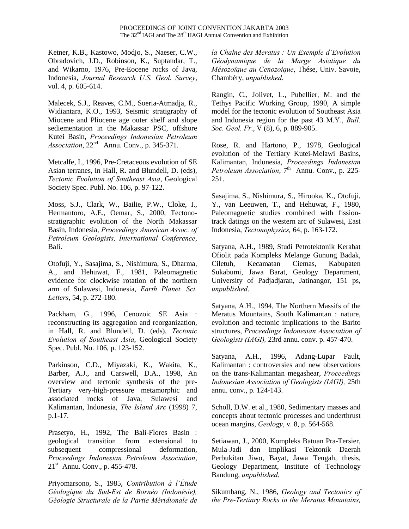Ketner, K.B., Kastowo, Modjo, S., Naeser, C.W., Obradovich, J.D., Robinson, K., Suptandar, T., and Wikarno, 1976, Pre-Eocene rocks of Java, Indonesia, *Journal Research U.S. Geol. Survey*, vol. 4, p. 605-614.

Malecek, S.J., Reaves, C.M., Soeria-Atmadja, R., Widiantara, K.O., 1993, Seismic stratigraphy of Miocene and Pliocene age outer shelf and slope sediementation in the Makassar PSC, offshore Kutei Basin, *Proceedings Indonesian Petroleum Association*, 22nd Annu. Conv., p. 345-371.

Metcalfe, I., 1996, Pre-Cretaceous evolution of SE Asian terranes, in Hall, R. and Blundell, D. (eds), *Tectonic Evolution of Southeast Asia*, Geological Society Spec. Publ. No. 106, p. 97-122.

Moss, S.J., Clark, W., Bailie, P.W., Cloke, I., Hermantoro, A.E., Oemar, S., 2000, Tectonostratigraphic evolution of the North Makassar Basin, Indonesia, *Proceedings American Assoc. of Petroleum Geologists, International Conference*, Bali.

Otofuji, Y., Sasajima, S., Nishimura, S., Dharma, A., and Hehuwat, F., 1981, Paleomagnetic evidence for clockwise rotation of the northern arm of Sulawesi, Indonesia, *Earth Planet. Sci. Letters*, 54, p. 272-180.

Packham, G., 1996, Cenozoic SE Asia : reconstructing its aggregation and reorganization, in Hall, R. and Blundell, D. (eds), *Tectonic Evolution of Southeast Asia*, Geological Society Spec. Publ. No. 106, p. 123-152.

Parkinson, C.D., Miyazaki, K., Wakita, K., Barber, A.J., and Carswell, D.A., 1998, An overview and tectonic synthesis of the pre-Tertiary very-high-pressure metamorphic and associated rocks of Java, Sulawesi and Kalimantan, Indonesia, *The Island Arc* (1998) 7, p.1-17.

Prasetyo, H., 1992, The Bali-Flores Basin : geological transition from extensional to subsequent compressional deformation, *Proceedings Indonesian Petroleum Association*, 21st Annu. Conv., p. 455-478.

Priyomarsono, S., 1985, *Contribution à l'Étude Géologique du Sud-Est de Bornéo (Indonésie), Géologie Structurale de la Partie Méridionale de* *la Chalne des Meratus : Un Exemple d'Evolution Géodynamique de la Marge Asiatique du Mésozoїque au Cenozoique*, Thése, Univ. Savoie, Chambéry, *unpublished*.

Rangin, C., Jolivet, L., Pubellier, M. and the Tethys Pacific Working Group, 1990, A simple model for the tectonic evolution of Southeast Asia and Indonesia region for the past 43 M.Y., *Bull. Soc. Geol. Fr*., V (8), 6, p. 889-905.

Rose, R. and Hartono, P., 1978, Geological evolution of the Tertiary Kutei-Melawi Basins, Kalimantan, Indonesia, *Proceedings Indonesian Petroleum Association*, 7<sup>th</sup> Annu. Conv., p. 225-251.

Sasajima, S., Nishimura, S., Hirooka, K., Otofuji, Y., van Leeuwen, T., and Hehuwat, F., 1980, Paleomagnetic studies combined with fissiontrack datings on the western arc of Sulawesi, East Indonesia, *Tectonophysics,* 64, p. 163-172.

Satyana, A.H., 1989, Studi Petrotektonik Kerabat Ofiolit pada Kompleks Melange Gunung Badak, Ciletuh, Kecamatan Ciemas, Kabupaten Sukabumi, Jawa Barat, Geology Department, University of Padjadjaran, Jatinangor, 151 ps, *unpublished*.

Satyana, A.H., 1994, The Northern Massifs of the Meratus Mountains, South Kalimantan : nature, evolution and tectonic implications to the Barito structures, *Proceedings Indonesian Association of Geologists (IAGI),* 23rd annu. conv. p. 457-470.

Satyana, A.H., 1996, Adang-Lupar Fault, Kalimantan : controversies and new observations on the trans-Kalimantan megashear, *Proceedings Indonesian Association of Geologists (IAGI),* 25th annu. conv., p. 124-143.

Scholl, D.W. et al., 1980, Sedimentary masses and concepts about tectonic processes and underthrust ocean margins, *Geology*, v. 8, p. 564-568.

Setiawan, J., 2000, Kompleks Batuan Pra-Tersier, Mula-Jadi dan Implikasi Tektonik Daerah Perbukitan Jiwo, Bayat, Jawa Tengah, thesis, Geology Department, Institute of Technology Bandung, *unpublished*.

Sikumbang, N., 1986, *Geology and Tectonics of the Pre-Tertiary Rocks in the Meratus Mountains,*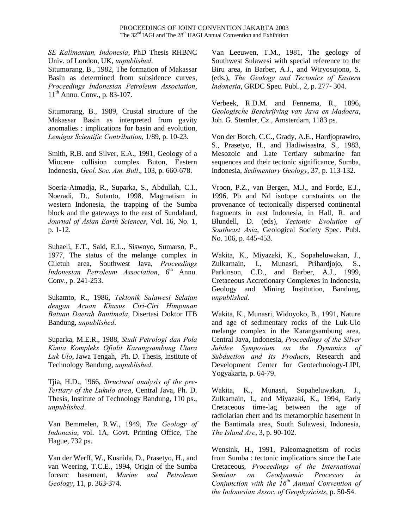*SE Kalimantan, Indonesia*, PhD Thesis RHBNC Univ. of London, UK, *unpublished*.

Situmorang, B., 1982, The formation of Makassar Basin as determined from subsidence curves, *Proceedings Indonesian Petroleum Association*, 11th Annu. Conv., p. 83-107.

Situmorang, B., 1989, Crustal structure of the Makassar Basin as interpreted from gavity anomalies : implications for basin and evolution, *Lemigas Scientific Contribution,* 1/89, p. 10-23.

Smith, R.B. and Silver, E.A., 1991, Geology of a Miocene collision complex Buton, Eastern Indonesia, *Geol. Soc. Am. Bull*., 103, p. 660-678.

Soeria-Atmadja, R., Suparka, S., Abdullah, C.I., Noeradi, D., Sutanto, 1998, Magmatism in western Indonesia, the trapping of the Sumba block and the gateways to the east of Sundaland, *Journal of Asian Earth Sciences*, Vol. 16, No. 1, p. 1-12.

Suhaeli, E.T., Said, E.L., Siswoyo, Sumarso, P., 1977, The status of the melange complex in Ciletuh area, Southwest Java, *Proceedings Indonesian Petroleum Association*,  $6<sup>th</sup>$  Annu. Conv., p. 241-253.

Sukamto, R., 1986, *Tektonik Sulawesi Selatan dengan Acuan Khusus Ciri-Ciri Himpunan Batuan Daerah Bantimala*, Disertasi Doktor ITB Bandung, *unpublished*.

Suparka, M.E.R., 1988, *Studi Petrologi dan Pola Kimia Kompleks Ofiolit Karangsambung Utara Luk Ulo*, Jawa Tengah, Ph. D. Thesis, Institute of Technology Bandung, *unpublished*.

Tjia, H.D., 1966, *Structural analysis of the pre-Tertiary of the Lukulo area*, Central Java, Ph. D. Thesis, Institute of Technology Bandung, 110 ps., *unpublished*.

Van Bemmelen, R.W., 1949, *The Geology of Indonesia*, vol. 1A, Govt. Printing Office, The Hague, 732 ps.

Van der Werff, W., Kusnida, D., Prasetyo, H., and van Weering, T.C.E., 1994, Origin of the Sumba forearc basement, *Marine and Petroleum Geology*, 11, p. 363-374.

Van Leeuwen, T.M., 1981, The geology of Southwest Sulawesi with special reference to the Biru area, in Barber, A.J., and Wiryosujono, S. (eds.), *The Geology and Tectonics of Eastern Indonesia*, GRDC Spec. Publ., 2, p. 277- 304.

Verbeek, R.D.M. and Fennema, R., 1896, *Geologische Beschrijving van Java en Madoera*, Joh. G. Stemler, Cz., Amsterdam, 1183 ps.

Von der Borch, C.C., Grady, A.E., Hardjoprawiro, S., Prasetyo, H., and Hadiwisastra, S., 1983, Mesozoic and Late Tertiary submarine fan sequences and their tectonic significance, Sumba, Indonesia, *Sedimentary Geology*, 37, p. 113-132.

Vroon, P.Z., van Bergen, M.J., and Forde, E.J., 1996, Pb and Nd isotope constraints on the provenance of tectonically dispersed continental fragments in east Indonesia, in Hall, R. and Blundell, D. (eds), *Tectonic Evolution of Southeast Asia*, Geological Society Spec. Publ. No. 106, p. 445-453.

Wakita, K., Miyazaki, K., Sopaheluwakan, J., Zulkarnain, I., Munasri, Prihardjojo, S., Parkinson, C.D., and Barber, A.J., 1999, Cretaceous Accretionary Complexes in Indonesia, Geology and Mining Institution, Bandung, *unpublished*.

Wakita, K., Munasri, Widoyoko, B., 1991, Nature and age of sedimentary rocks of the Luk-Ulo melange complex in the Karangsambung area, Central Java, Indonesia, *Proceedings of the Silver Jubilee Symposium on the Dynamics of Subduction and Its Products*, Research and Development Center for Geotechnology-LIPI, Yogyakarta, p. 64-79.

Wakita, K., Munasri, Sopaheluwakan, J., Zulkarnain, I., and Miyazaki, K., 1994, Early Cretaceous time-lag between the age of radiolarian chert and its metamorphic basement in the Bantimala area, South Sulawesi, Indonesia, *The Island Arc*, 3, p. 90-102.

Wensink, H., 1991, Paleomagnetism of rocks from Sumba : tectonic implications since the Late Cretaceous, *Proceedings of the International Seminar on Geodynamic Processes in Conjunction with the 16th Annual Convention of the Indonesian Assoc. of Geophysicists*, p. 50-54.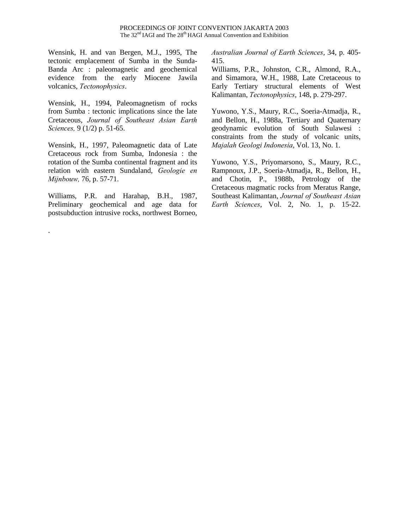Wensink, H. and van Bergen, M.J., 1995, The tectonic emplacement of Sumba in the Sunda-Banda Arc : paleomagnetic and geochemical evidence from the early Miocene Jawila volcanics, *Tectonophysics*.

Wensink, H., 1994, Paleomagnetism of rocks from Sumba : tectonic implications since the late Cretaceous, *Journal of Southeast Asian Earth Sciences,* 9 (1/2) p. 51-65.

Wensink, H., 1997, Paleomagnetic data of Late Cretaceous rock from Sumba, Indonesia : the rotation of the Sumba continental fragment and its relation with eastern Sundaland, *Geologie en Mijnbouw,* 76, p. 57-71.

Williams, P.R. and Harahap, B.H., 1987, Preliminary geochemical and age data for postsubduction intrusive rocks, northwest Borneo,

.

*Australian Journal of Earth Sciences*, 34, p. 405- 415.

Williams, P.R., Johnston, C.R., Almond, R.A., and Simamora, W.H., 1988, Late Cretaceous to Early Tertiary structural elements of West Kalimantan, *Tectonophysics*, 148, p. 279-297.

Yuwono, Y.S., Maury, R.C., Soeria-Atmadja, R., and Bellon, H., 1988a, Tertiary and Quaternary geodynamic evolution of South Sulawesi : constraints from the study of volcanic units, *Majalah Geologi Indonesia*, Vol. 13, No. 1.

Yuwono, Y.S., Priyomarsono, S., Maury, R.C., Rampnoux, J.P., Soeria-Atmadja, R., Bellon, H., and Chotin, P., 1988b, Petrology of the Cretaceous magmatic rocks from Meratus Range, Southeast Kalimantan, *Journal of Southeast Asian Earth Sciences*, Vol. 2, No. 1, p. 15-22.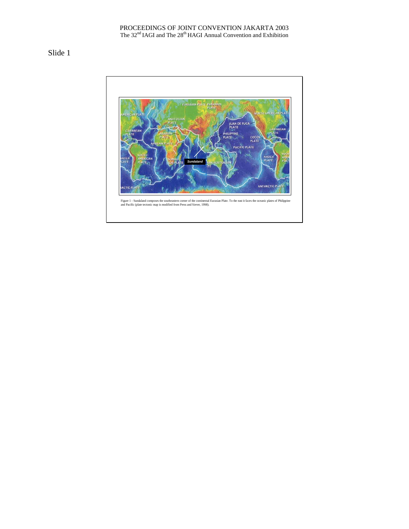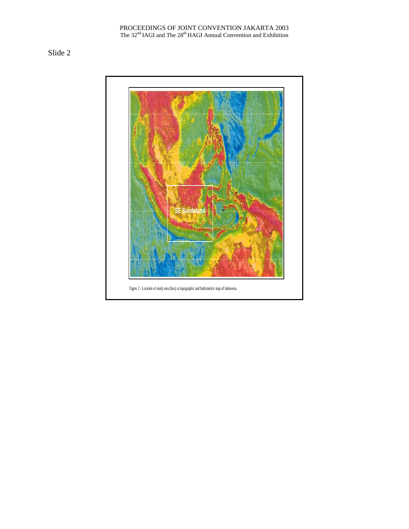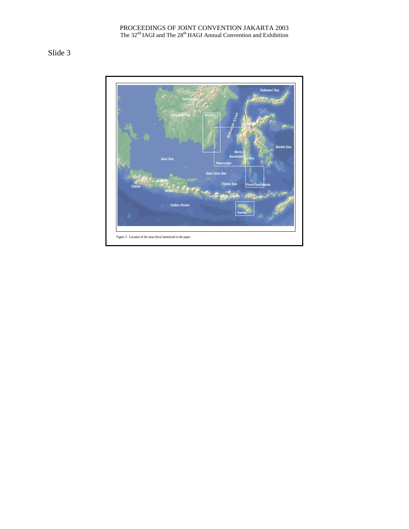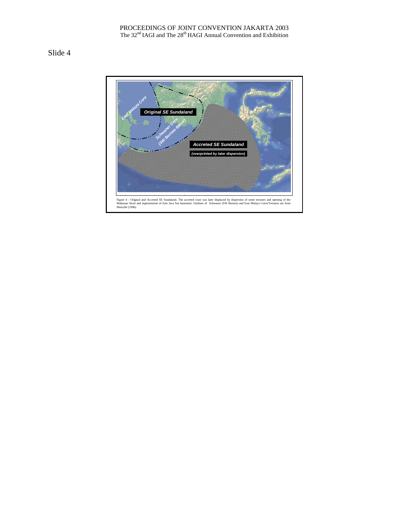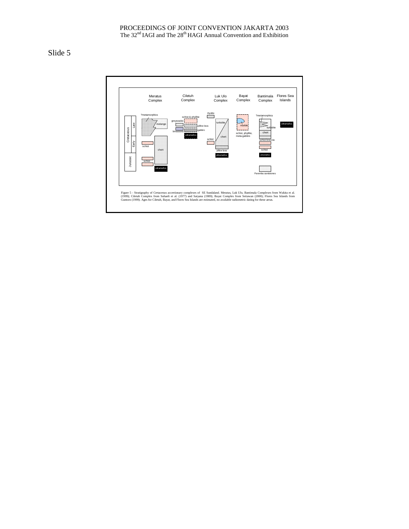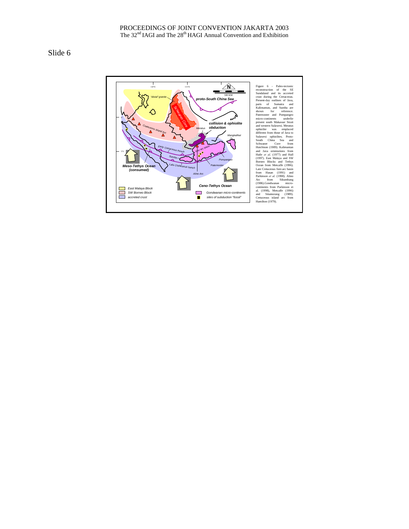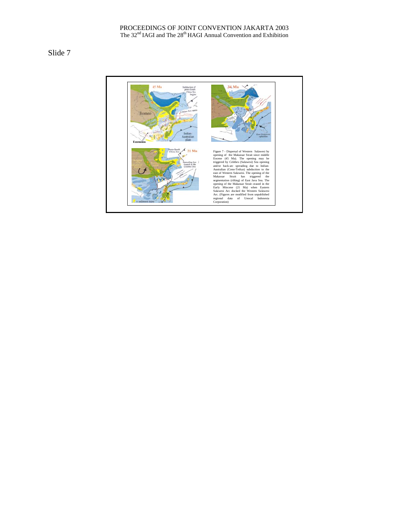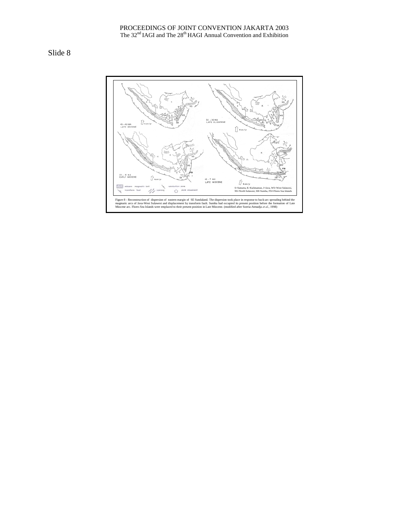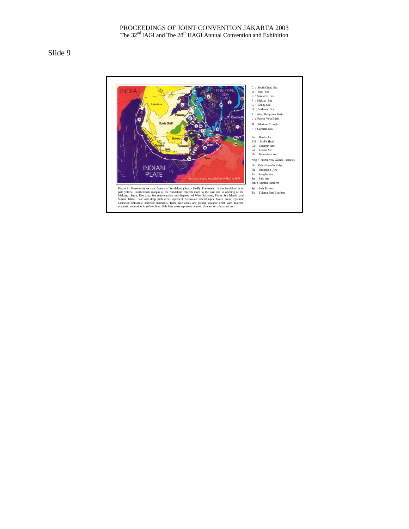